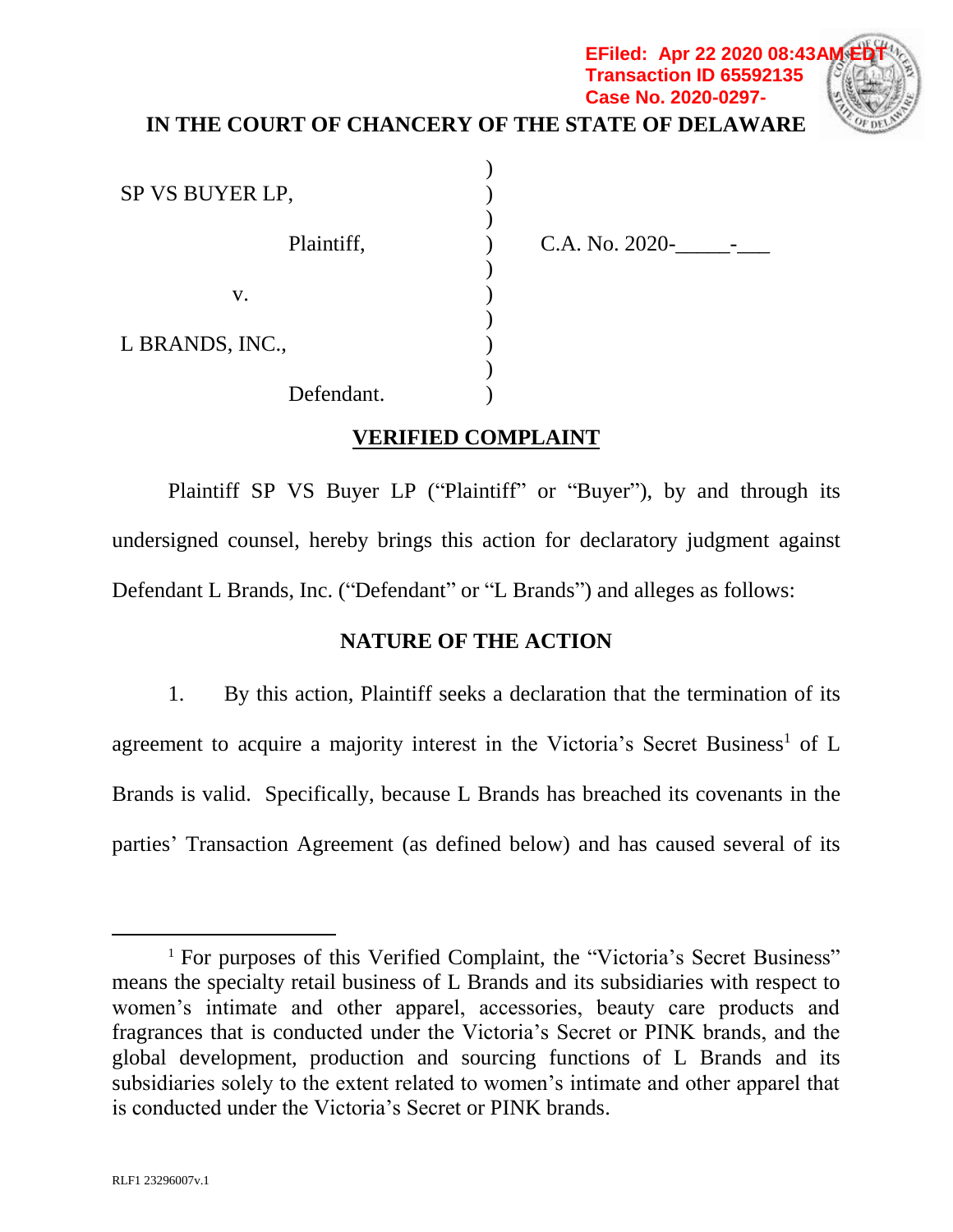# **IN THE COURT OF CHANCERY OF THE STATE OF DELAWARE**

 $\mathcal{L}$ ) ) ) ) ) ) ) ) )

SP VS BUYER LP, Plaintiff, v. L BRANDS, INC., Defendant.

 $C.A. No. 2020 -$ 

**EFiled: Apr 22 2020 08:43A Transaction ID 65592135 Case No. 2020-0297-**

### **VERIFIED COMPLAINT**

Plaintiff SP VS Buyer LP ("Plaintiff" or "Buyer"), by and through its undersigned counsel, hereby brings this action for declaratory judgment against Defendant L Brands, Inc. ("Defendant" or "L Brands") and alleges as follows:

### **NATURE OF THE ACTION**

1. By this action, Plaintiff seeks a declaration that the termination of its agreement to acquire a majority interest in the Victoria's Secret Business<sup>1</sup> of  $L$ Brands is valid. Specifically, because L Brands has breached its covenants in the parties' Transaction Agreement (as defined below) and has caused several of its

l

<sup>&</sup>lt;sup>1</sup> For purposes of this Verified Complaint, the "Victoria's Secret Business" means the specialty retail business of L Brands and its subsidiaries with respect to women's intimate and other apparel, accessories, beauty care products and fragrances that is conducted under the Victoria's Secret or PINK brands, and the global development, production and sourcing functions of L Brands and its subsidiaries solely to the extent related to women's intimate and other apparel that is conducted under the Victoria's Secret or PINK brands.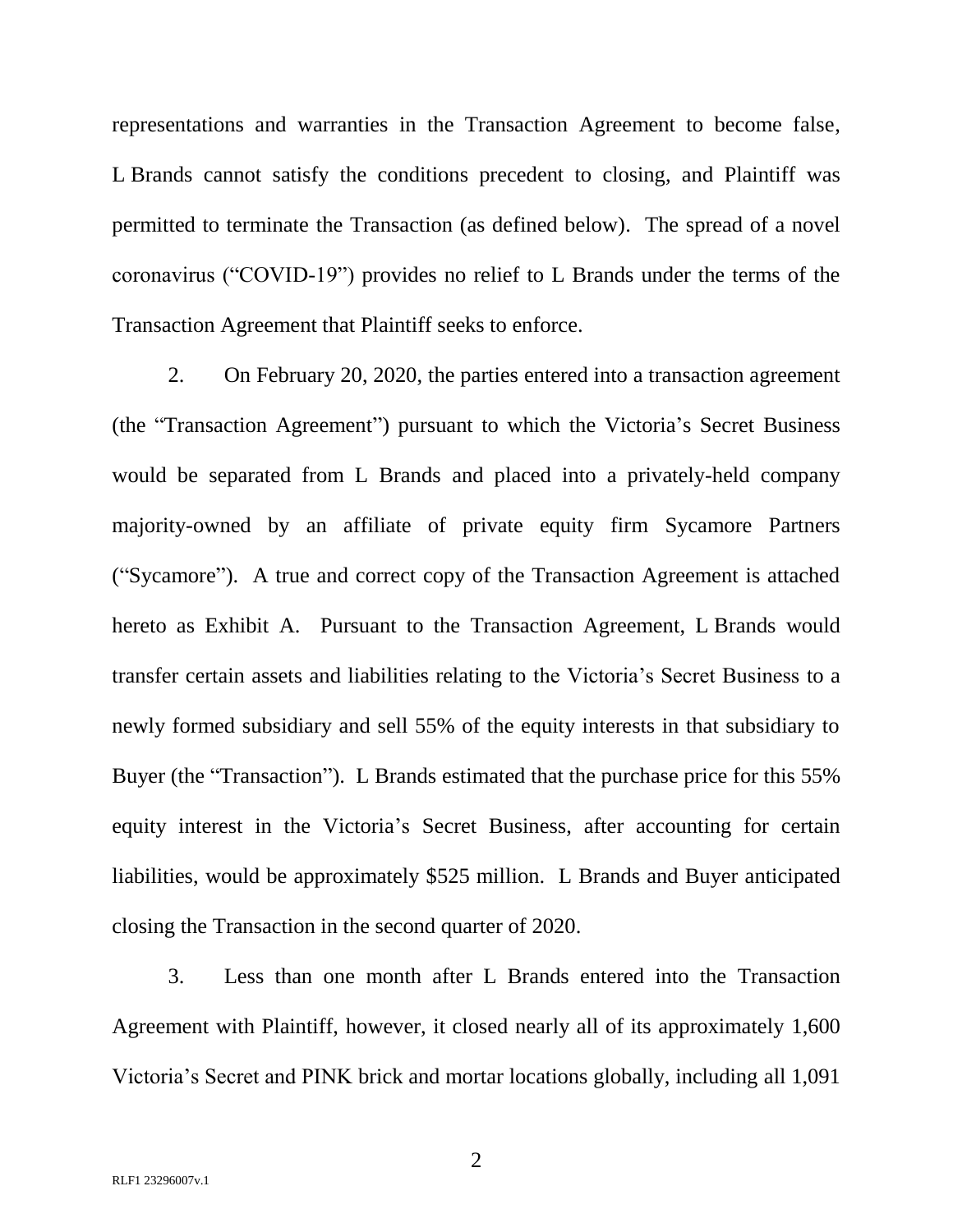representations and warranties in the Transaction Agreement to become false, L Brands cannot satisfy the conditions precedent to closing, and Plaintiff was permitted to terminate the Transaction (as defined below). The spread of a novel coronavirus ("COVID-19") provides no relief to L Brands under the terms of the Transaction Agreement that Plaintiff seeks to enforce.

2. On February 20, 2020, the parties entered into a transaction agreement (the "Transaction Agreement") pursuant to which the Victoria's Secret Business would be separated from L Brands and placed into a privately-held company majority-owned by an affiliate of private equity firm Sycamore Partners ("Sycamore"). A true and correct copy of the Transaction Agreement is attached hereto as Exhibit A. Pursuant to the Transaction Agreement, L Brands would transfer certain assets and liabilities relating to the Victoria's Secret Business to a newly formed subsidiary and sell 55% of the equity interests in that subsidiary to Buyer (the "Transaction"). L Brands estimated that the purchase price for this 55% equity interest in the Victoria's Secret Business, after accounting for certain liabilities, would be approximately \$525 million. L Brands and Buyer anticipated closing the Transaction in the second quarter of 2020.

3. Less than one month after L Brands entered into the Transaction Agreement with Plaintiff, however, it closed nearly all of its approximately 1,600 Victoria's Secret and PINK brick and mortar locations globally, including all 1,091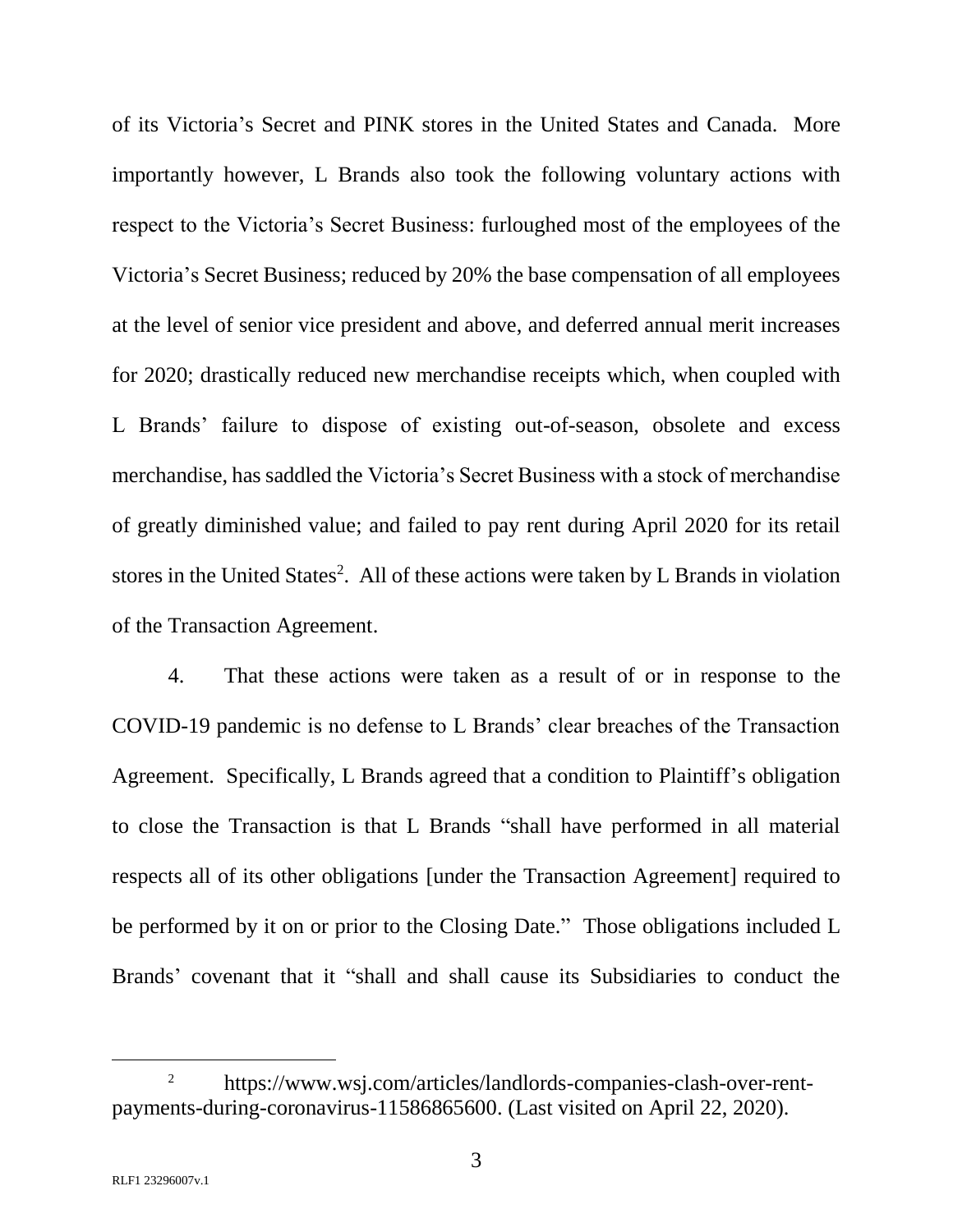of its Victoria's Secret and PINK stores in the United States and Canada. More importantly however, L Brands also took the following voluntary actions with respect to the Victoria's Secret Business: furloughed most of the employees of the Victoria's Secret Business; reduced by 20% the base compensation of all employees at the level of senior vice president and above, and deferred annual merit increases for 2020; drastically reduced new merchandise receipts which, when coupled with L Brands' failure to dispose of existing out-of-season, obsolete and excess merchandise, has saddled the Victoria's Secret Business with a stock of merchandise of greatly diminished value; and failed to pay rent during April 2020 for its retail stores in the United States<sup>2</sup>. All of these actions were taken by L Brands in violation of the Transaction Agreement.

4. That these actions were taken as a result of or in response to the COVID-19 pandemic is no defense to L Brands' clear breaches of the Transaction Agreement. Specifically, L Brands agreed that a condition to Plaintiff's obligation to close the Transaction is that L Brands "shall have performed in all material respects all of its other obligations [under the Transaction Agreement] required to be performed by it on or prior to the Closing Date." Those obligations included L Brands' covenant that it "shall and shall cause its Subsidiaries to conduct the

<sup>2</sup> https://www.wsj.com/articles/landlords-companies-clash-over-rentpayments-during-coronavirus-11586865600. (Last visited on April 22, 2020).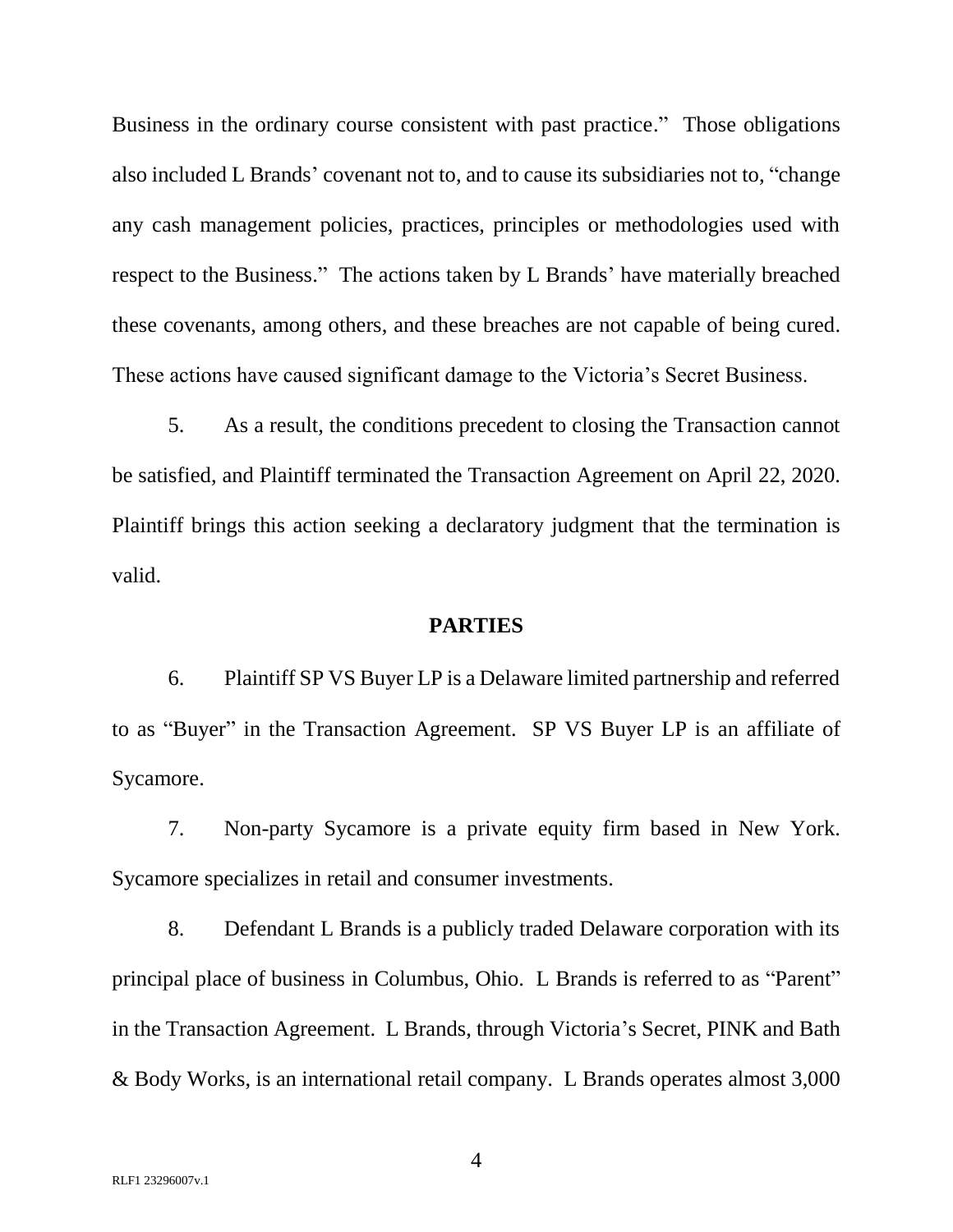Business in the ordinary course consistent with past practice." Those obligations also included L Brands' covenant not to, and to cause its subsidiaries not to, "change any cash management policies, practices, principles or methodologies used with respect to the Business." The actions taken by L Brands' have materially breached these covenants, among others, and these breaches are not capable of being cured. These actions have caused significant damage to the Victoria's Secret Business.

5. As a result, the conditions precedent to closing the Transaction cannot be satisfied, and Plaintiff terminated the Transaction Agreement on April 22, 2020. Plaintiff brings this action seeking a declaratory judgment that the termination is valid.

#### **PARTIES**

6. Plaintiff SP VS Buyer LP is a Delaware limited partnership and referred to as "Buyer" in the Transaction Agreement. SP VS Buyer LP is an affiliate of Sycamore.

7. Non-party Sycamore is a private equity firm based in New York. Sycamore specializes in retail and consumer investments.

8. Defendant L Brands is a publicly traded Delaware corporation with its principal place of business in Columbus, Ohio. L Brands is referred to as "Parent" in the Transaction Agreement. L Brands, through Victoria's Secret, PINK and Bath & Body Works, is an international retail company. L Brands operates almost 3,000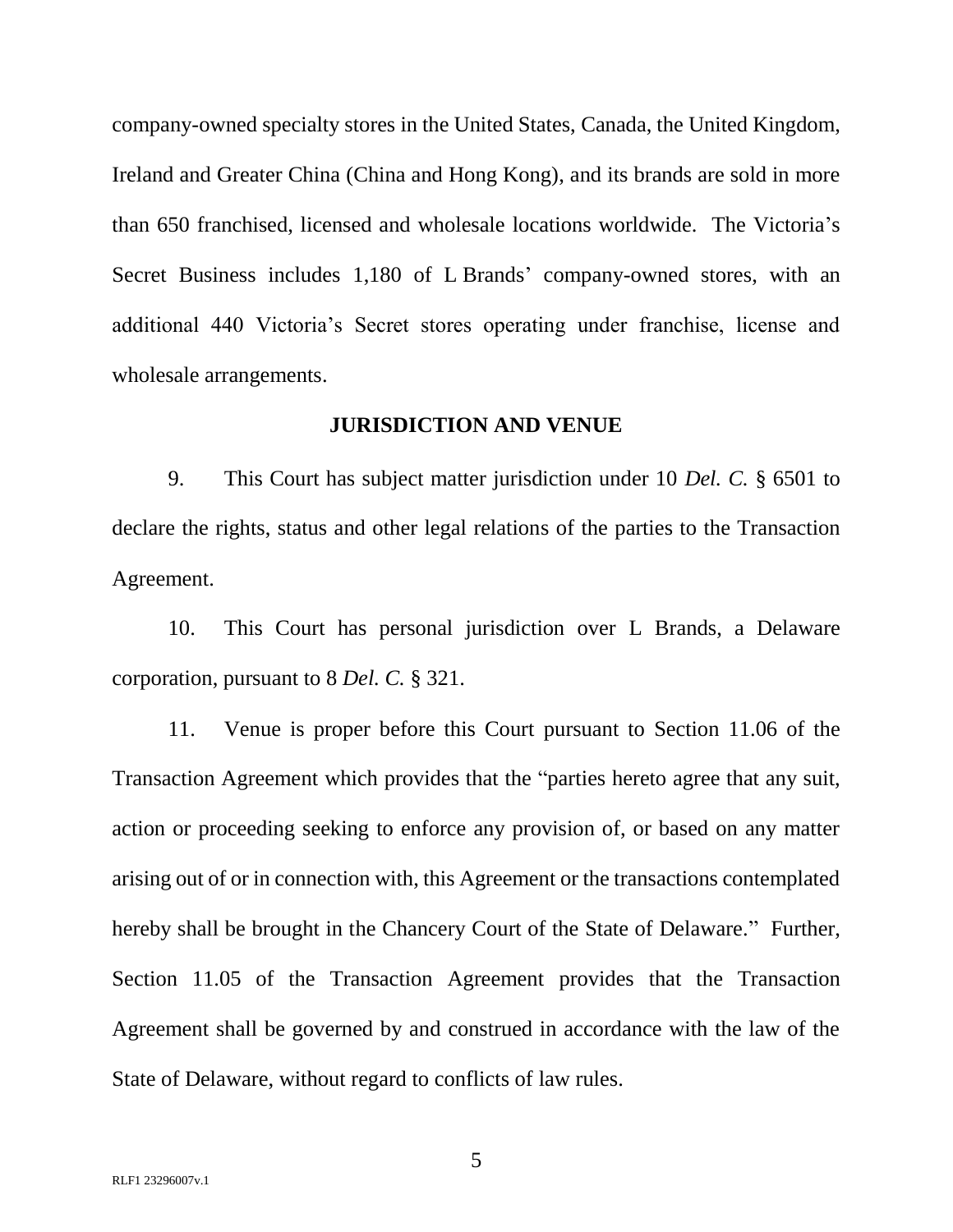company-owned specialty stores in the United States, Canada, the United Kingdom, Ireland and Greater China (China and Hong Kong), and its brands are sold in more than 650 franchised, licensed and wholesale locations worldwide. The Victoria's Secret Business includes 1,180 of L Brands' company-owned stores, with an additional 440 Victoria's Secret stores operating under franchise, license and wholesale arrangements.

#### **JURISDICTION AND VENUE**

9. This Court has subject matter jurisdiction under 10 *Del. C.* § 6501 to declare the rights, status and other legal relations of the parties to the Transaction Agreement.

10. This Court has personal jurisdiction over L Brands, a Delaware corporation, pursuant to 8 *Del. C.* § 321.

11. Venue is proper before this Court pursuant to Section 11.06 of the Transaction Agreement which provides that the "parties hereto agree that any suit, action or proceeding seeking to enforce any provision of, or based on any matter arising out of or in connection with, this Agreement or the transactions contemplated hereby shall be brought in the Chancery Court of the State of Delaware." Further, Section 11.05 of the Transaction Agreement provides that the Transaction Agreement shall be governed by and construed in accordance with the law of the State of Delaware, without regard to conflicts of law rules.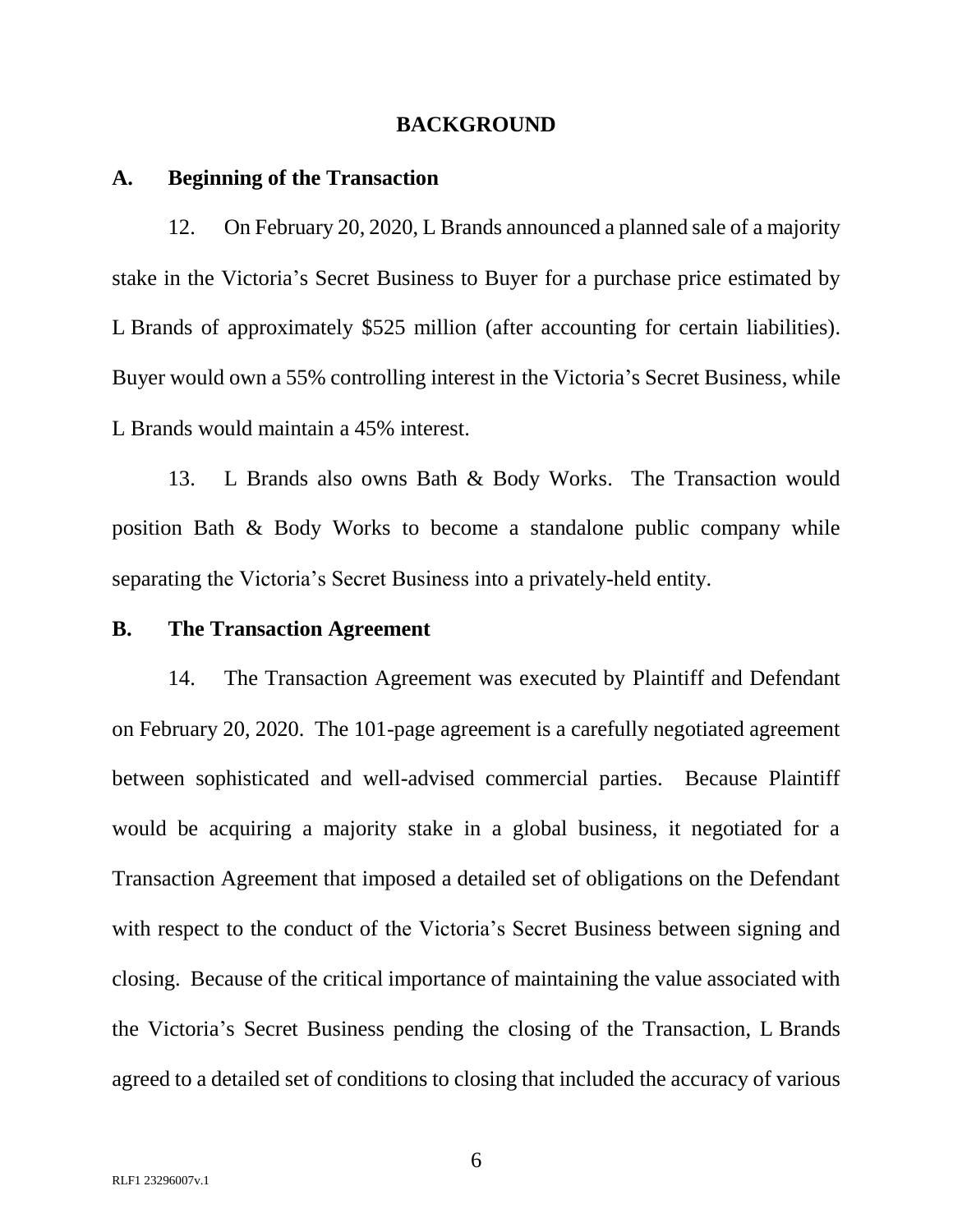#### **BACKGROUND**

#### **A. Beginning of the Transaction**

12. On February 20, 2020, L Brands announced a planned sale of a majority stake in the Victoria's Secret Business to Buyer for a purchase price estimated by L Brands of approximately \$525 million (after accounting for certain liabilities). Buyer would own a 55% controlling interest in the Victoria's Secret Business, while L Brands would maintain a 45% interest.

13. L Brands also owns Bath & Body Works. The Transaction would position Bath & Body Works to become a standalone public company while separating the Victoria's Secret Business into a privately-held entity.

#### **B. The Transaction Agreement**

14. The Transaction Agreement was executed by Plaintiff and Defendant on February 20, 2020. The 101-page agreement is a carefully negotiated agreement between sophisticated and well-advised commercial parties. Because Plaintiff would be acquiring a majority stake in a global business, it negotiated for a Transaction Agreement that imposed a detailed set of obligations on the Defendant with respect to the conduct of the Victoria's Secret Business between signing and closing. Because of the critical importance of maintaining the value associated with the Victoria's Secret Business pending the closing of the Transaction, L Brands agreed to a detailed set of conditions to closing that included the accuracy of various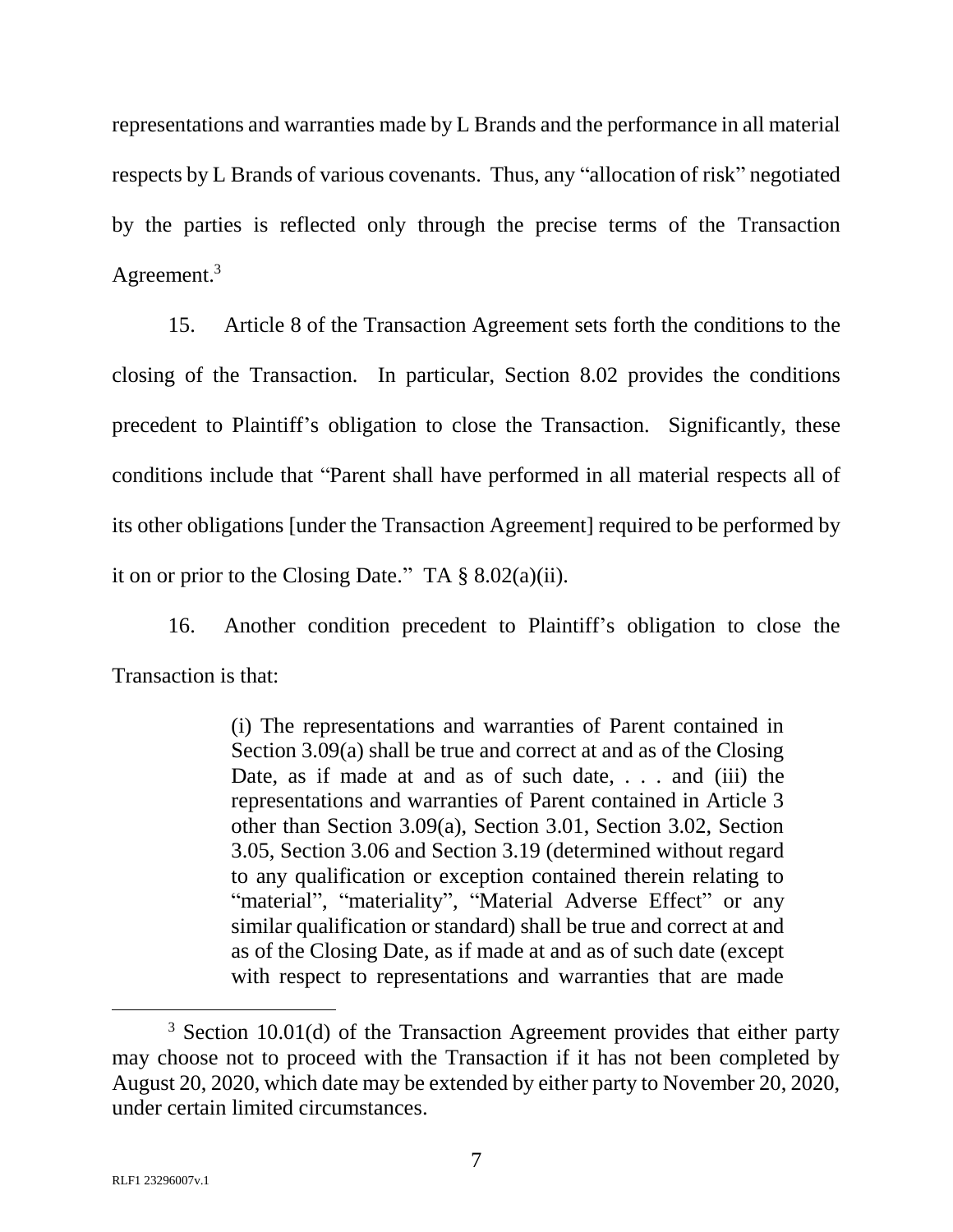representations and warranties made by L Brands and the performance in all material respects by L Brands of various covenants. Thus, any "allocation of risk" negotiated by the parties is reflected only through the precise terms of the Transaction Agreement.<sup>3</sup>

15. Article 8 of the Transaction Agreement sets forth the conditions to the closing of the Transaction. In particular, Section 8.02 provides the conditions precedent to Plaintiff's obligation to close the Transaction. Significantly, these conditions include that "Parent shall have performed in all material respects all of its other obligations [under the Transaction Agreement] required to be performed by it on or prior to the Closing Date." TA  $\S 8.02(a)(ii)$ .

16. Another condition precedent to Plaintiff's obligation to close the Transaction is that:

> (i) The representations and warranties of Parent contained in Section 3.09(a) shall be true and correct at and as of the Closing Date, as if made at and as of such date, . . . and (iii) the representations and warranties of Parent contained in Article 3 other than Section 3.09(a), Section 3.01, Section 3.02, Section 3.05, Section 3.06 and Section 3.19 (determined without regard to any qualification or exception contained therein relating to "material", "materiality", "Material Adverse Effect" or any similar qualification or standard) shall be true and correct at and as of the Closing Date, as if made at and as of such date (except with respect to representations and warranties that are made

<sup>&</sup>lt;sup>3</sup> Section 10.01(d) of the Transaction Agreement provides that either party may choose not to proceed with the Transaction if it has not been completed by August 20, 2020, which date may be extended by either party to November 20, 2020, under certain limited circumstances.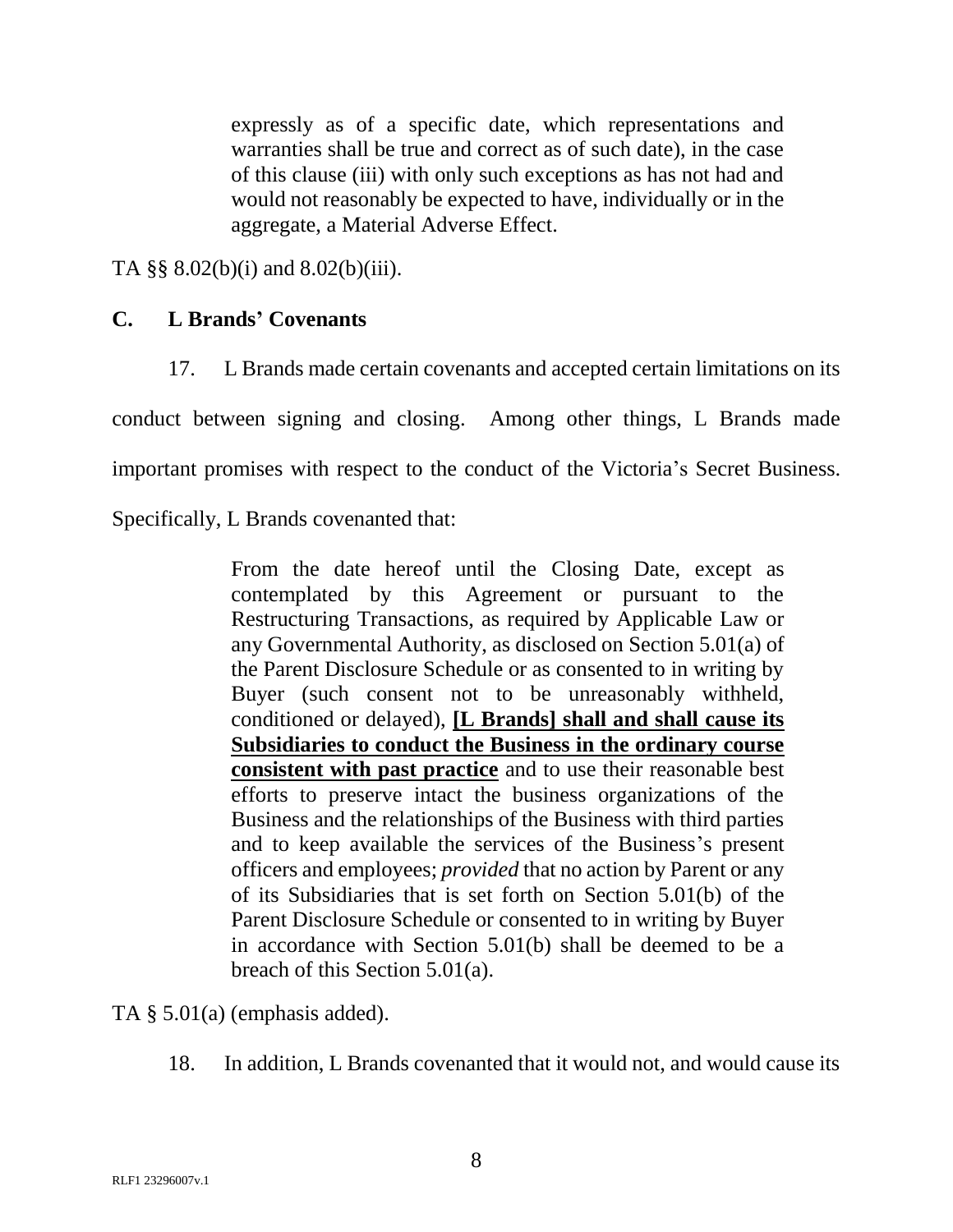expressly as of a specific date, which representations and warranties shall be true and correct as of such date), in the case of this clause (iii) with only such exceptions as has not had and would not reasonably be expected to have, individually or in the aggregate, a Material Adverse Effect.

TA §§ 8.02(b)(i) and 8.02(b)(iii).

## **C. L Brands' Covenants**

17. L Brands made certain covenants and accepted certain limitations on its

conduct between signing and closing. Among other things, L Brands made

important promises with respect to the conduct of the Victoria's Secret Business.

Specifically, L Brands covenanted that:

From the date hereof until the Closing Date, except as contemplated by this Agreement or pursuant to the Restructuring Transactions, as required by Applicable Law or any Governmental Authority, as disclosed on Section 5.01(a) of the Parent Disclosure Schedule or as consented to in writing by Buyer (such consent not to be unreasonably withheld, conditioned or delayed), **[L Brands] shall and shall cause its Subsidiaries to conduct the Business in the ordinary course consistent with past practice** and to use their reasonable best efforts to preserve intact the business organizations of the Business and the relationships of the Business with third parties and to keep available the services of the Business's present officers and employees; *provided* that no action by Parent or any of its Subsidiaries that is set forth on Section 5.01(b) of the Parent Disclosure Schedule or consented to in writing by Buyer in accordance with Section 5.01(b) shall be deemed to be a breach of this Section 5.01(a).

TA § 5.01(a) (emphasis added).

18. In addition, L Brands covenanted that it would not, and would cause its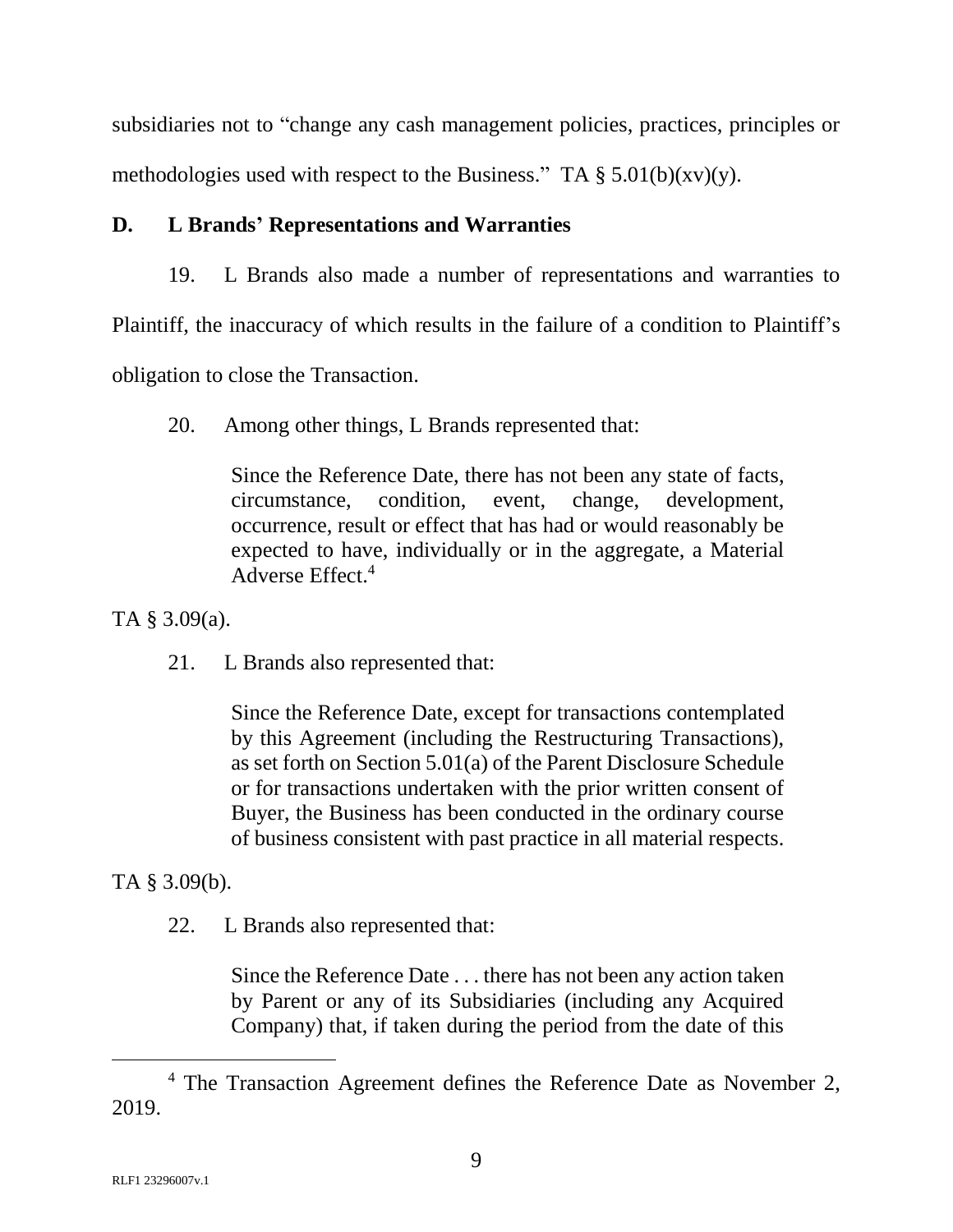subsidiaries not to "change any cash management policies, practices, principles or methodologies used with respect to the Business." TA  $\S 5.01(b)(xv)(y)$ .

# **D. L Brands' Representations and Warranties**

19. L Brands also made a number of representations and warranties to

Plaintiff, the inaccuracy of which results in the failure of a condition to Plaintiff's

obligation to close the Transaction.

20. Among other things, L Brands represented that:

Since the Reference Date, there has not been any state of facts, circumstance, condition, event, change, development, occurrence, result or effect that has had or would reasonably be expected to have, individually or in the aggregate, a Material Adverse Effect.<sup>4</sup>

TA § 3.09(a).

21. L Brands also represented that:

Since the Reference Date, except for transactions contemplated by this Agreement (including the Restructuring Transactions), as set forth on Section 5.01(a) of the Parent Disclosure Schedule or for transactions undertaken with the prior written consent of Buyer, the Business has been conducted in the ordinary course of business consistent with past practice in all material respects.

TA § 3.09(b).

22. L Brands also represented that:

Since the Reference Date . . . there has not been any action taken by Parent or any of its Subsidiaries (including any Acquired Company) that, if taken during the period from the date of this

<sup>4</sup> The Transaction Agreement defines the Reference Date as November 2, 2019.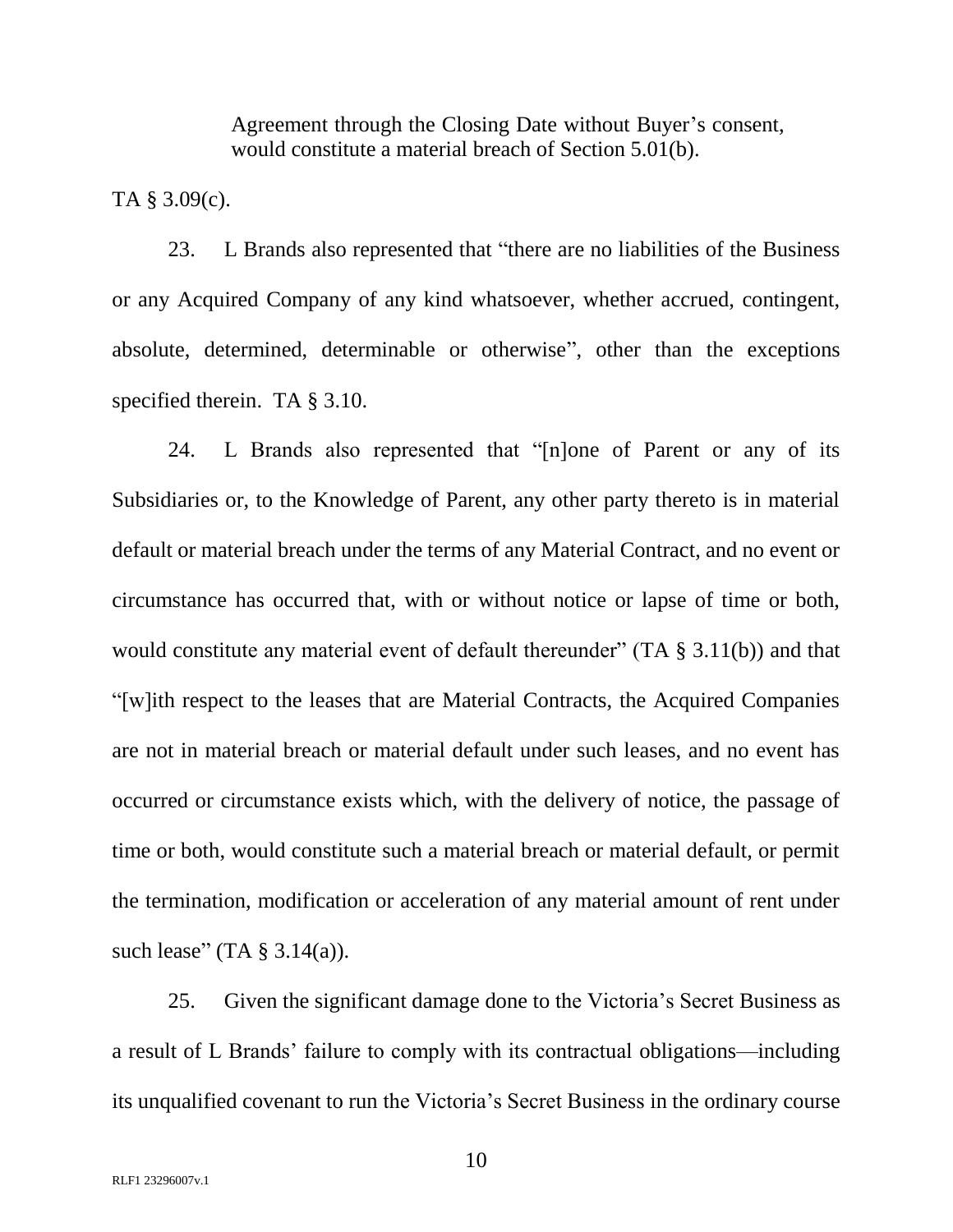Agreement through the Closing Date without Buyer's consent, would constitute a material breach of Section 5.01(b).

TA § 3.09(c).

23. L Brands also represented that "there are no liabilities of the Business or any Acquired Company of any kind whatsoever, whether accrued, contingent, absolute, determined, determinable or otherwise", other than the exceptions specified therein. TA § 3.10.

24. L Brands also represented that "[n]one of Parent or any of its Subsidiaries or, to the Knowledge of Parent, any other party thereto is in material default or material breach under the terms of any Material Contract, and no event or circumstance has occurred that, with or without notice or lapse of time or both, would constitute any material event of default thereunder" (TA  $\S$  3.11(b)) and that "[w]ith respect to the leases that are Material Contracts, the Acquired Companies are not in material breach or material default under such leases, and no event has occurred or circumstance exists which, with the delivery of notice, the passage of time or both, would constitute such a material breach or material default, or permit the termination, modification or acceleration of any material amount of rent under such lease" (TA  $\S$  3.14(a)).

25. Given the significant damage done to the Victoria's Secret Business as a result of L Brands' failure to comply with its contractual obligations—including its unqualified covenant to run the Victoria's Secret Business in the ordinary course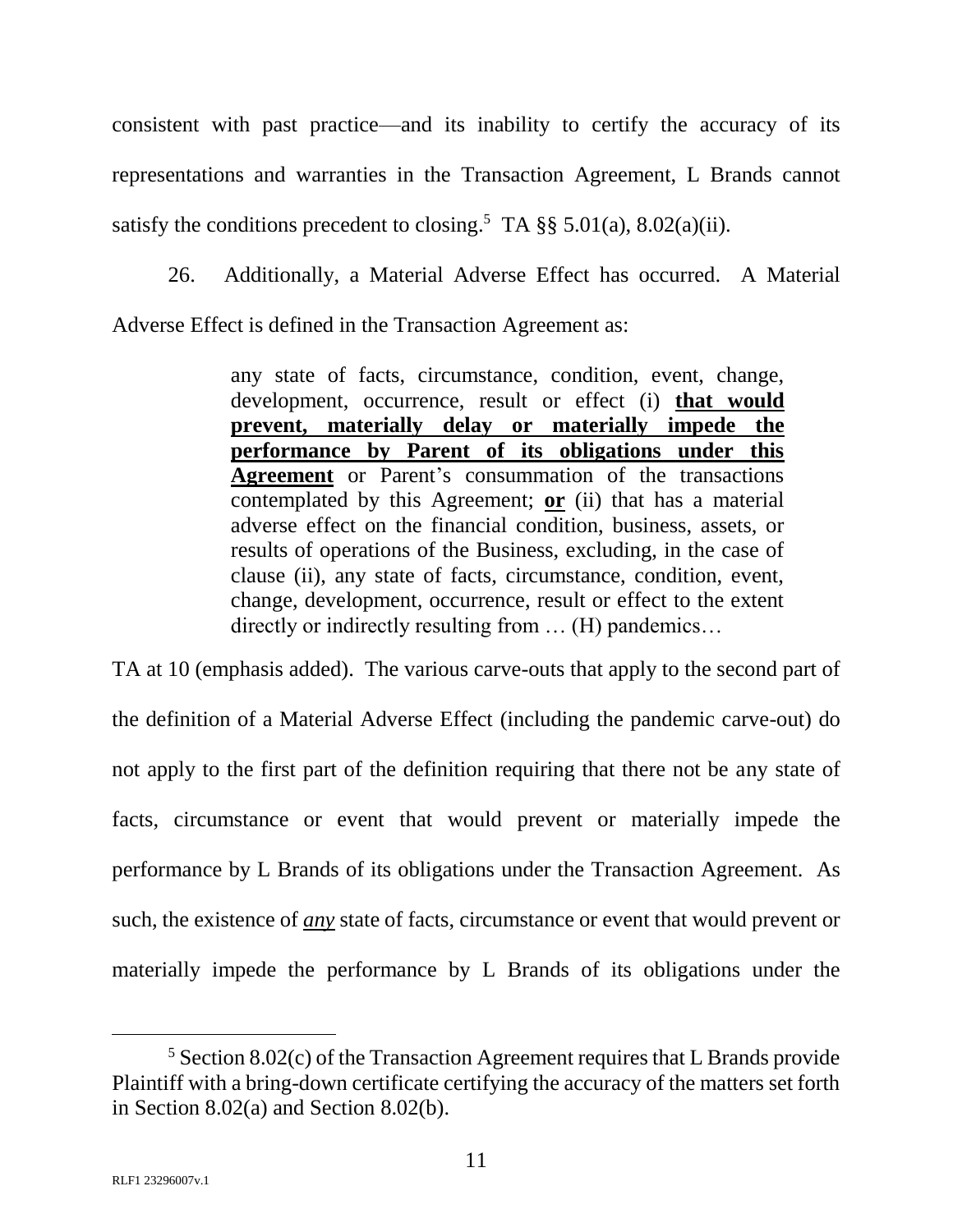consistent with past practice—and its inability to certify the accuracy of its representations and warranties in the Transaction Agreement, L Brands cannot satisfy the conditions precedent to closing.<sup>5</sup> TA  $\S$ § 5.01(a), 8.02(a)(ii).

26. Additionally, a Material Adverse Effect has occurred. A Material Adverse Effect is defined in the Transaction Agreement as:

> any state of facts, circumstance, condition, event, change, development, occurrence, result or effect (i) **that would prevent, materially delay or materially impede the performance by Parent of its obligations under this Agreement** or Parent's consummation of the transactions contemplated by this Agreement; **or** (ii) that has a material adverse effect on the financial condition, business, assets, or results of operations of the Business, excluding, in the case of clause (ii), any state of facts, circumstance, condition, event, change, development, occurrence, result or effect to the extent directly or indirectly resulting from … (H) pandemics…

TA at 10 (emphasis added). The various carve-outs that apply to the second part of the definition of a Material Adverse Effect (including the pandemic carve-out) do not apply to the first part of the definition requiring that there not be any state of facts, circumstance or event that would prevent or materially impede the performance by L Brands of its obligations under the Transaction Agreement. As such, the existence of *any* state of facts, circumstance or event that would prevent or materially impede the performance by L Brands of its obligations under the

 $5$  Section 8.02(c) of the Transaction Agreement requires that L Brands provide Plaintiff with a bring-down certificate certifying the accuracy of the matters set forth in Section 8.02(a) and Section 8.02(b).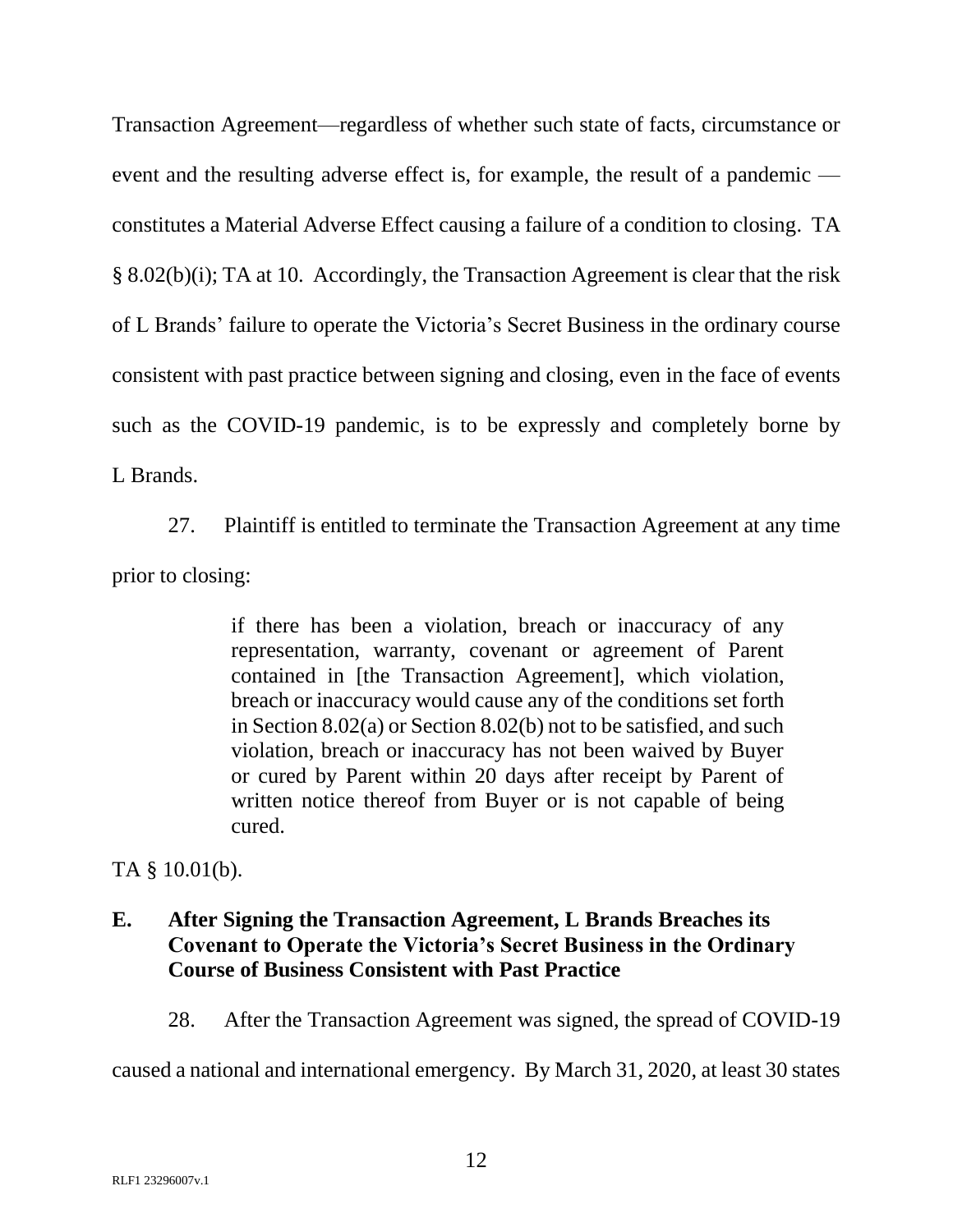Transaction Agreement—regardless of whether such state of facts, circumstance or event and the resulting adverse effect is, for example, the result of a pandemic constitutes a Material Adverse Effect causing a failure of a condition to closing. TA § 8.02(b)(i); TA at 10. Accordingly, the Transaction Agreement is clear that the risk of L Brands' failure to operate the Victoria's Secret Business in the ordinary course consistent with past practice between signing and closing, even in the face of events such as the COVID-19 pandemic, is to be expressly and completely borne by L Brands.

27. Plaintiff is entitled to terminate the Transaction Agreement at any time prior to closing:

> if there has been a violation, breach or inaccuracy of any representation, warranty, covenant or agreement of Parent contained in [the Transaction Agreement], which violation, breach or inaccuracy would cause any of the conditions set forth in Section 8.02(a) or Section 8.02(b) not to be satisfied, and such violation, breach or inaccuracy has not been waived by Buyer or cured by Parent within 20 days after receipt by Parent of written notice thereof from Buyer or is not capable of being cured.

TA § 10.01(b).

# **E. After Signing the Transaction Agreement, L Brands Breaches its Covenant to Operate the Victoria's Secret Business in the Ordinary Course of Business Consistent with Past Practice**

28. After the Transaction Agreement was signed, the spread of COVID-19

caused a national and international emergency. By March 31, 2020, at least 30 states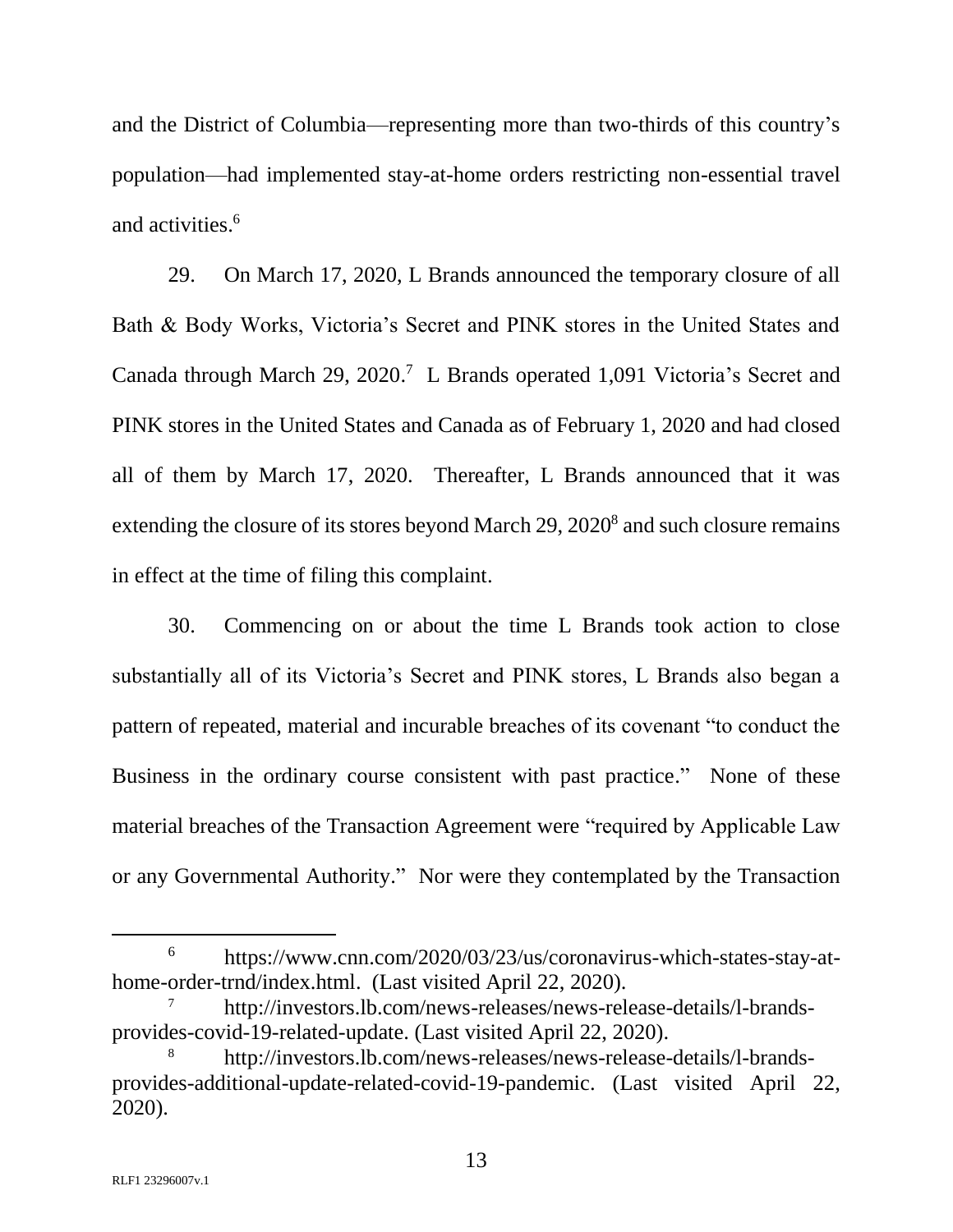and the District of Columbia—representing more than two-thirds of this country's population—had implemented stay-at-home orders restricting non-essential travel and activities.<sup>6</sup>

29. On March 17, 2020, L Brands announced the temporary closure of all Bath & Body Works, Victoria's Secret and PINK stores in the United States and Canada through March 29, 2020. 7 L Brands operated 1,091 Victoria's Secret and PINK stores in the United States and Canada as of February 1, 2020 and had closed all of them by March 17, 2020. Thereafter, L Brands announced that it was extending the closure of its stores beyond March 29, 2020<sup>8</sup> and such closure remains in effect at the time of filing this complaint.

30. Commencing on or about the time L Brands took action to close substantially all of its Victoria's Secret and PINK stores, L Brands also began a pattern of repeated, material and incurable breaches of its covenant "to conduct the Business in the ordinary course consistent with past practice." None of these material breaches of the Transaction Agreement were "required by Applicable Law or any Governmental Authority." Nor were they contemplated by the Transaction

l

<sup>6</sup> https://www.cnn.com/2020/03/23/us/coronavirus-which-states-stay-athome-order-trnd/index.html. (Last visited April 22, 2020).

<sup>7</sup> http://investors.lb.com/news-releases/news-release-details/l-brandsprovides-covid-19-related-update. (Last visited April 22, 2020).

<sup>8</sup> http://investors.lb.com/news-releases/news-release-details/l-brandsprovides-additional-update-related-covid-19-pandemic. (Last visited April 22, 2020).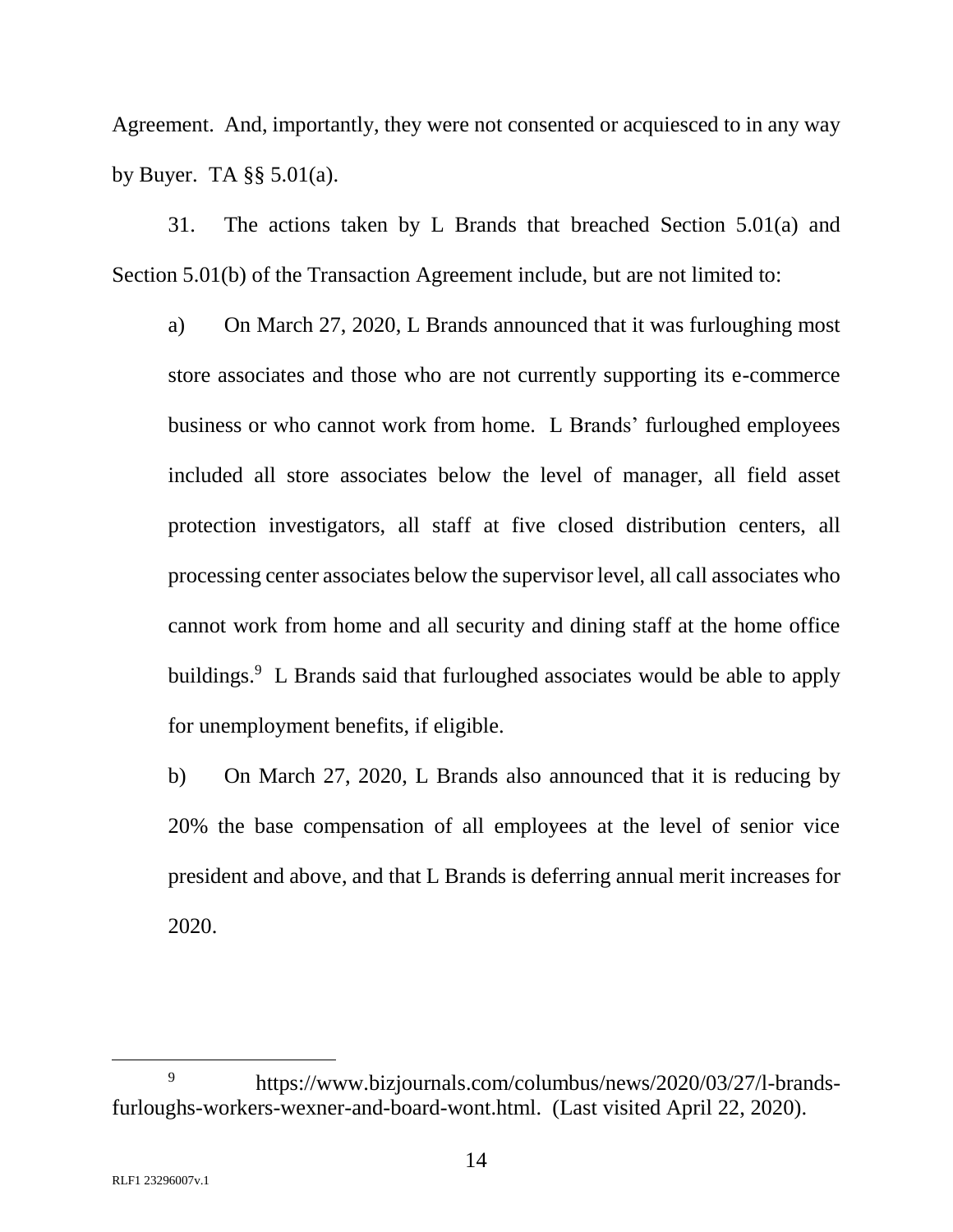Agreement. And, importantly, they were not consented or acquiesced to in any way by Buyer. TA  $\S$ § 5.01(a).

31. The actions taken by L Brands that breached Section 5.01(a) and Section 5.01(b) of the Transaction Agreement include, but are not limited to:

a) On March 27, 2020, L Brands announced that it was furloughing most store associates and those who are not currently supporting its e-commerce business or who cannot work from home. L Brands' furloughed employees included all store associates below the level of manager, all field asset protection investigators, all staff at five closed distribution centers, all processing center associates below the supervisor level, all call associates who cannot work from home and all security and dining staff at the home office buildings.<sup>9</sup> L Brands said that furloughed associates would be able to apply for unemployment benefits, if eligible.

b) On March 27, 2020, L Brands also announced that it is reducing by 20% the base compensation of all employees at the level of senior vice president and above, and that L Brands is deferring annual merit increases for 2020.

<sup>9</sup> https://www.bizjournals.com/columbus/news/2020/03/27/l-brandsfurloughs-workers-wexner-and-board-wont.html. (Last visited April 22, 2020).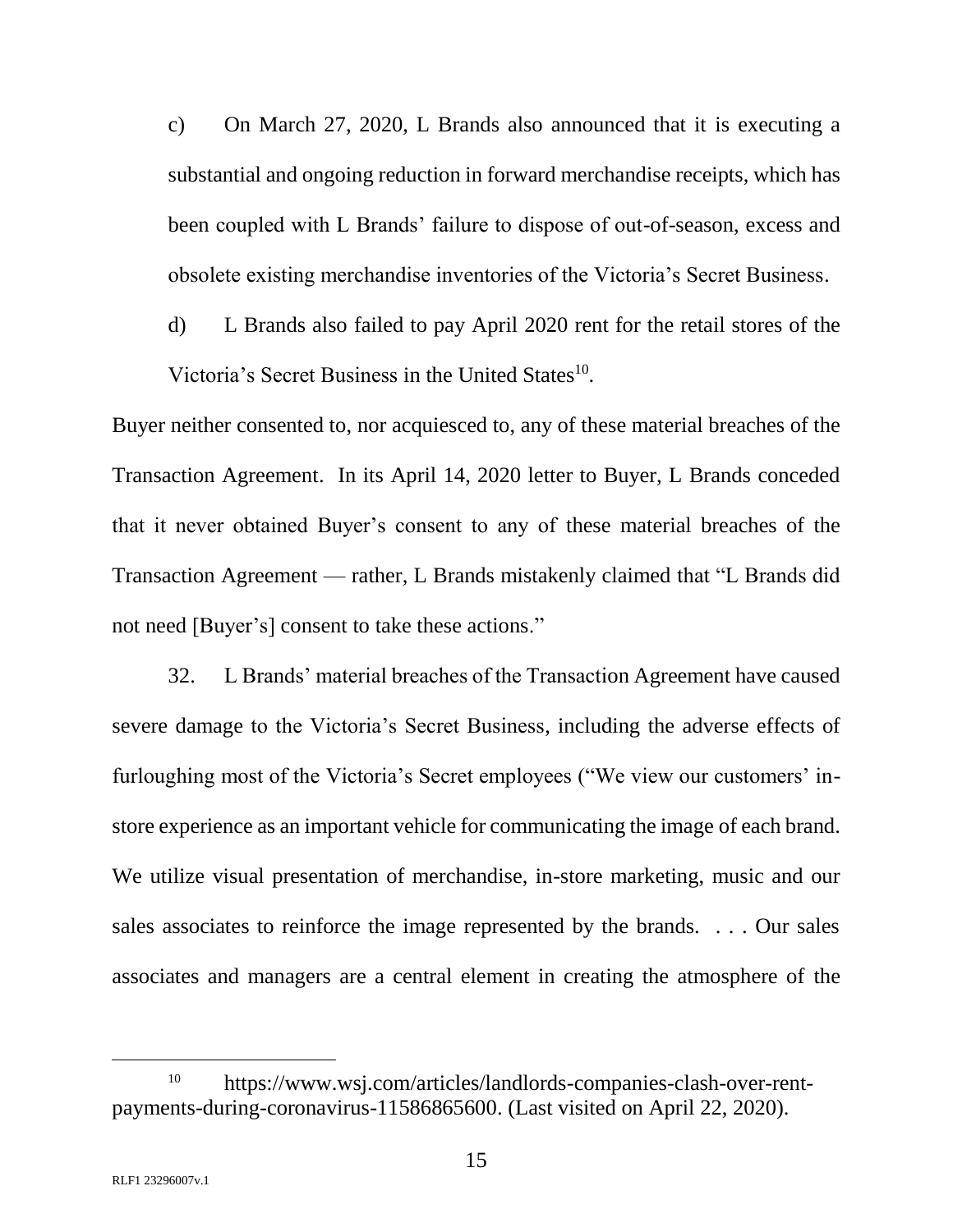c) On March 27, 2020, L Brands also announced that it is executing a substantial and ongoing reduction in forward merchandise receipts, which has been coupled with L Brands' failure to dispose of out-of-season, excess and obsolete existing merchandise inventories of the Victoria's Secret Business.

d) L Brands also failed to pay April 2020 rent for the retail stores of the Victoria's Secret Business in the United States<sup>10</sup>.

Buyer neither consented to, nor acquiesced to, any of these material breaches of the Transaction Agreement. In its April 14, 2020 letter to Buyer, L Brands conceded that it never obtained Buyer's consent to any of these material breaches of the Transaction Agreement — rather, L Brands mistakenly claimed that "L Brands did not need [Buyer's] consent to take these actions."

32. L Brands' material breaches of the Transaction Agreement have caused severe damage to the Victoria's Secret Business, including the adverse effects of furloughing most of the Victoria's Secret employees ("We view our customers' instore experience as an important vehicle for communicating the image of each brand. We utilize visual presentation of merchandise, in-store marketing, music and our sales associates to reinforce the image represented by the brands. . . . Our sales associates and managers are a central element in creating the atmosphere of the

<sup>10</sup> https://www.wsj.com/articles/landlords-companies-clash-over-rentpayments-during-coronavirus-11586865600. (Last visited on April 22, 2020).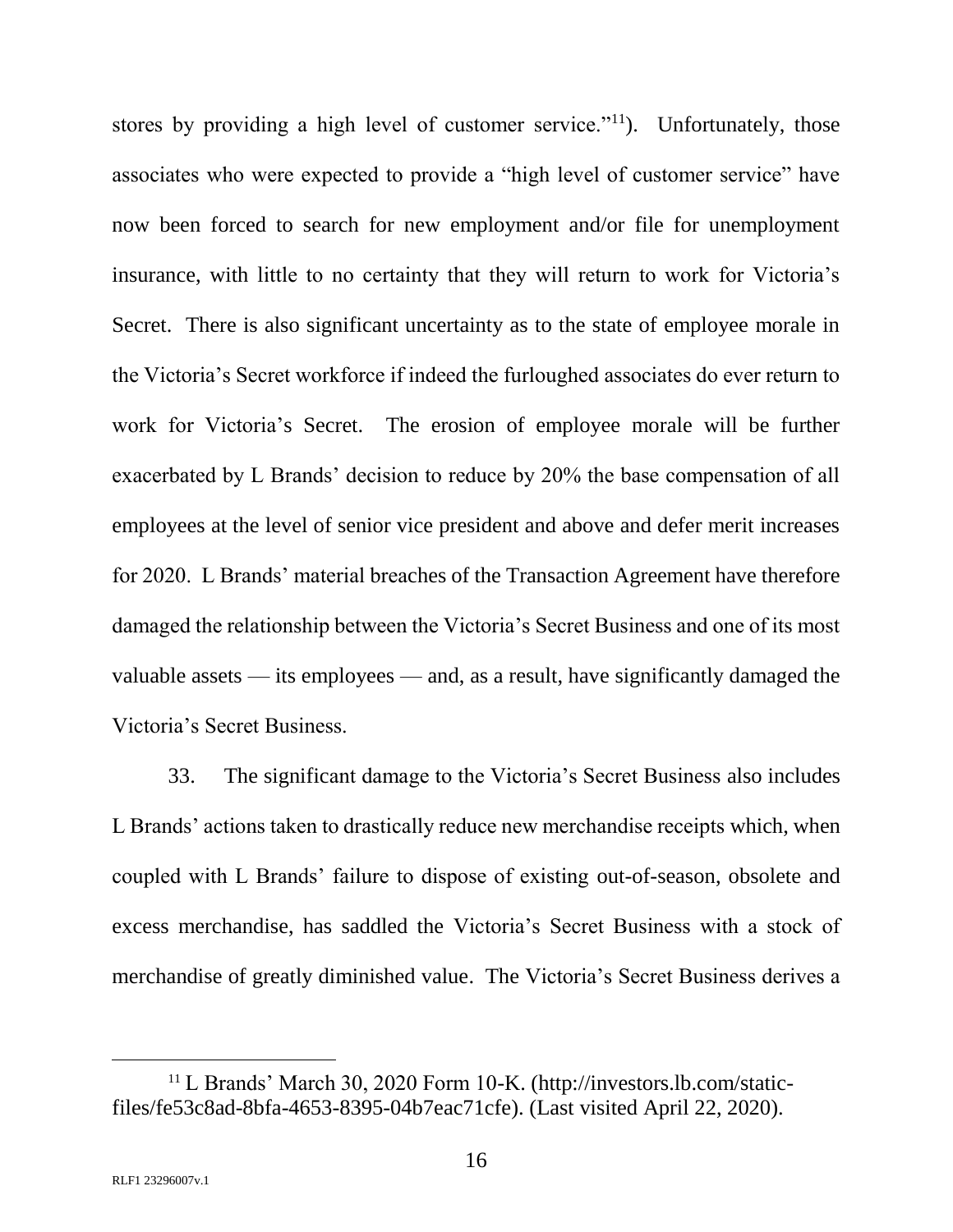stores by providing a high level of customer service."<sup>11</sup>). Unfortunately, those associates who were expected to provide a "high level of customer service" have now been forced to search for new employment and/or file for unemployment insurance, with little to no certainty that they will return to work for Victoria's Secret. There is also significant uncertainty as to the state of employee morale in the Victoria's Secret workforce if indeed the furloughed associates do ever return to work for Victoria's Secret. The erosion of employee morale will be further exacerbated by L Brands' decision to reduce by 20% the base compensation of all employees at the level of senior vice president and above and defer merit increases for 2020. L Brands' material breaches of the Transaction Agreement have therefore damaged the relationship between the Victoria's Secret Business and one of its most valuable assets — its employees — and, as a result, have significantly damaged the Victoria's Secret Business.

33. The significant damage to the Victoria's Secret Business also includes L Brands' actions taken to drastically reduce new merchandise receipts which, when coupled with L Brands' failure to dispose of existing out-of-season, obsolete and excess merchandise, has saddled the Victoria's Secret Business with a stock of merchandise of greatly diminished value. The Victoria's Secret Business derives a

<sup>11</sup> L Brands' March 30, 2020 Form 10-K. (http://investors.lb.com/staticfiles/fe53c8ad-8bfa-4653-8395-04b7eac71cfe). (Last visited April 22, 2020).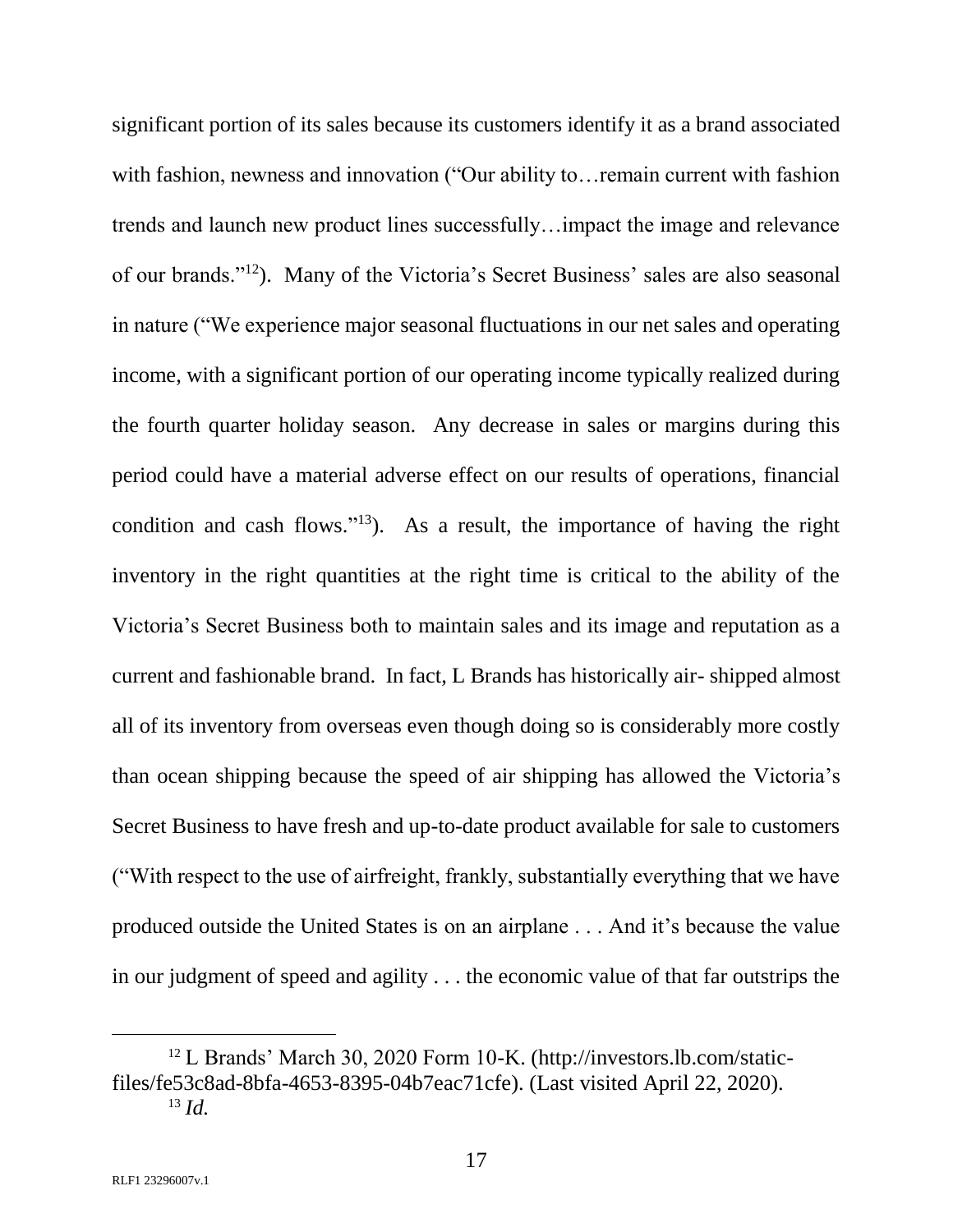significant portion of its sales because its customers identify it as a brand associated with fashion, newness and innovation ("Our ability to... remain current with fashion trends and launch new product lines successfully…impact the image and relevance of our brands."<sup>12</sup>). Many of the Victoria's Secret Business' sales are also seasonal in nature ("We experience major seasonal fluctuations in our net sales and operating income, with a significant portion of our operating income typically realized during the fourth quarter holiday season. Any decrease in sales or margins during this period could have a material adverse effect on our results of operations, financial condition and cash flows." $13$ ). As a result, the importance of having the right inventory in the right quantities at the right time is critical to the ability of the Victoria's Secret Business both to maintain sales and its image and reputation as a current and fashionable brand. In fact, L Brands has historically air- shipped almost all of its inventory from overseas even though doing so is considerably more costly than ocean shipping because the speed of air shipping has allowed the Victoria's Secret Business to have fresh and up-to-date product available for sale to customers ("With respect to the use of airfreight, frankly, substantially everything that we have produced outside the United States is on an airplane . . . And it's because the value in our judgment of speed and agility . . . the economic value of that far outstrips the

<sup>12</sup> L Brands' March 30, 2020 Form 10-K. (http://investors.lb.com/staticfiles/fe53c8ad-8bfa-4653-8395-04b7eac71cfe). (Last visited April 22, 2020). <sup>13</sup> *Id.*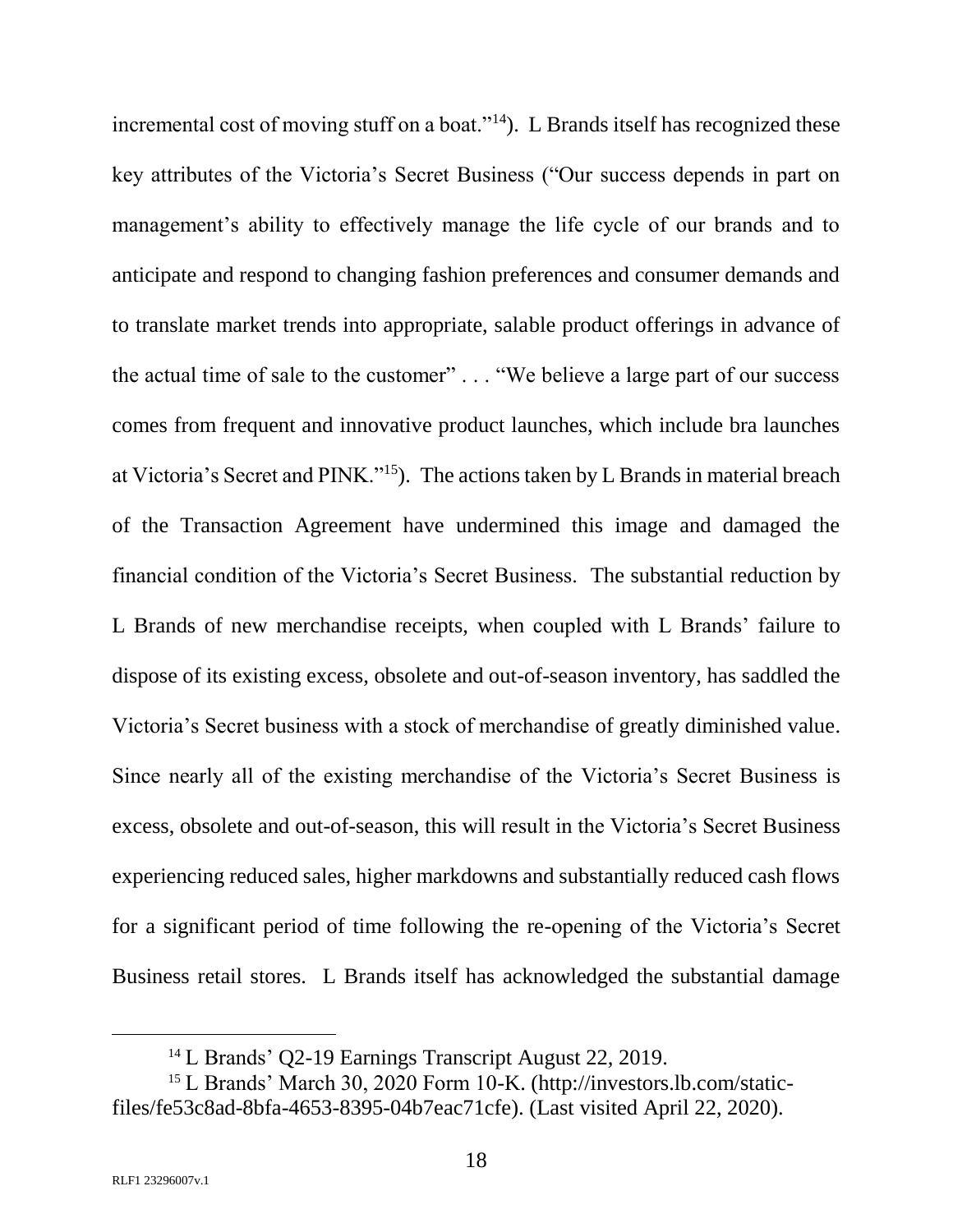incremental cost of moving stuff on a boat."<sup>14</sup>). L Brands itself has recognized these key attributes of the Victoria's Secret Business ("Our success depends in part on management's ability to effectively manage the life cycle of our brands and to anticipate and respond to changing fashion preferences and consumer demands and to translate market trends into appropriate, salable product offerings in advance of the actual time of sale to the customer" . . . "We believe a large part of our success comes from frequent and innovative product launches, which include bra launches at Victoria's Secret and PINK."<sup>15</sup>). The actions taken by L Brands in material breach of the Transaction Agreement have undermined this image and damaged the financial condition of the Victoria's Secret Business. The substantial reduction by L Brands of new merchandise receipts, when coupled with L Brands' failure to dispose of its existing excess, obsolete and out-of-season inventory, has saddled the Victoria's Secret business with a stock of merchandise of greatly diminished value. Since nearly all of the existing merchandise of the Victoria's Secret Business is excess, obsolete and out-of-season, this will result in the Victoria's Secret Business experiencing reduced sales, higher markdowns and substantially reduced cash flows for a significant period of time following the re-opening of the Victoria's Secret Business retail stores. L Brands itself has acknowledged the substantial damage

<sup>&</sup>lt;sup>14</sup> L Brands' Q2-19 Earnings Transcript August 22, 2019.

<sup>15</sup> L Brands' March 30, 2020 Form 10-K. (http://investors.lb.com/staticfiles/fe53c8ad-8bfa-4653-8395-04b7eac71cfe). (Last visited April 22, 2020).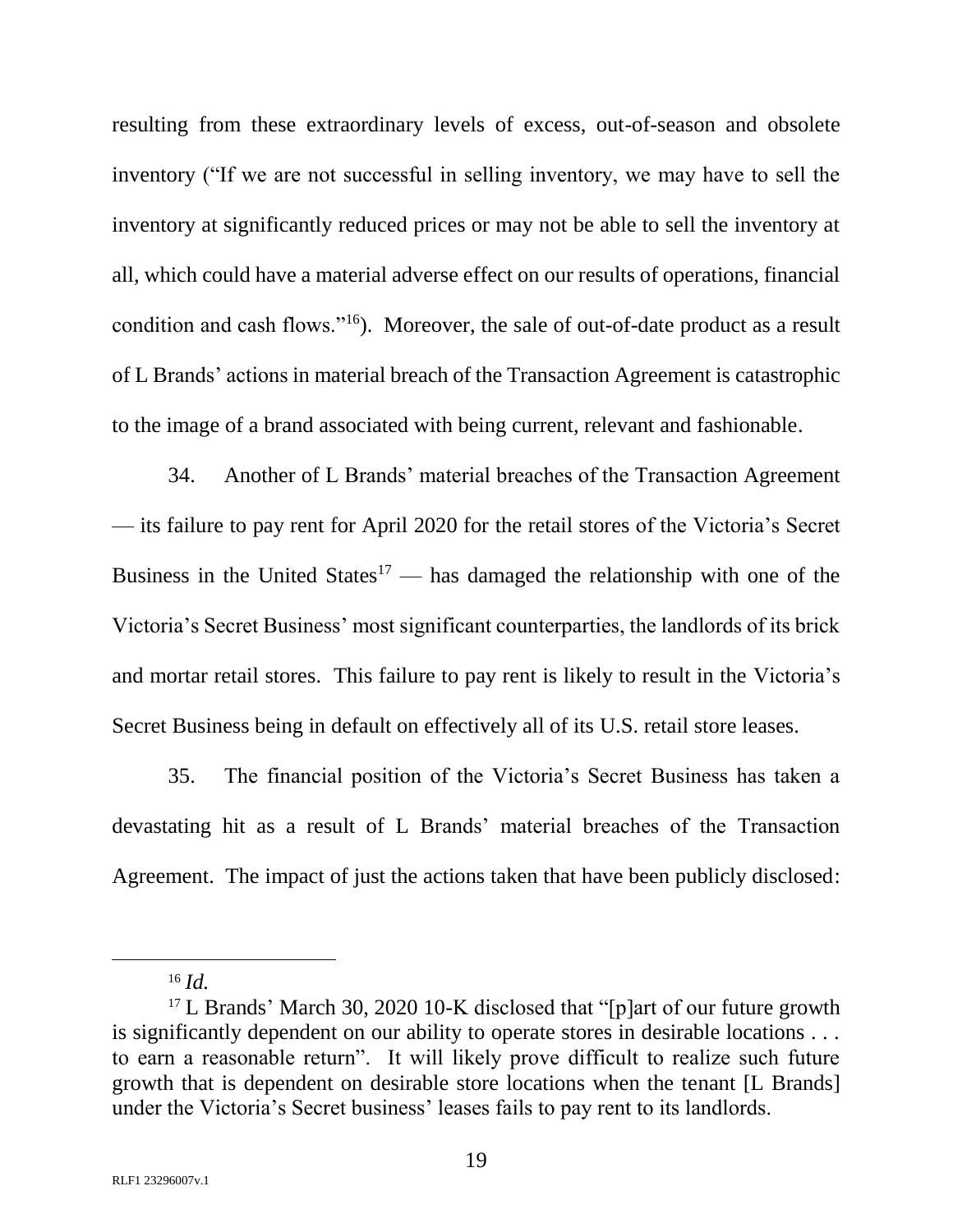resulting from these extraordinary levels of excess, out-of-season and obsolete inventory ("If we are not successful in selling inventory, we may have to sell the inventory at significantly reduced prices or may not be able to sell the inventory at all, which could have a material adverse effect on our results of operations, financial condition and cash flows."<sup>16</sup>). Moreover, the sale of out-of-date product as a result of L Brands' actions in material breach of the Transaction Agreement is catastrophic to the image of a brand associated with being current, relevant and fashionable.

34. Another of L Brands' material breaches of the Transaction Agreement — its failure to pay rent for April 2020 for the retail stores of the Victoria's Secret Business in the United States<sup>17</sup> — has damaged the relationship with one of the Victoria's Secret Business' most significant counterparties, the landlords of its brick and mortar retail stores. This failure to pay rent is likely to result in the Victoria's Secret Business being in default on effectively all of its U.S. retail store leases.

35. The financial position of the Victoria's Secret Business has taken a devastating hit as a result of L Brands' material breaches of the Transaction Agreement. The impact of just the actions taken that have been publicly disclosed:

l

<sup>16</sup> *Id.*

<sup>&</sup>lt;sup>17</sup> L Brands' March 30, 2020 10-K disclosed that "[p]art of our future growth is significantly dependent on our ability to operate stores in desirable locations . . . to earn a reasonable return". It will likely prove difficult to realize such future growth that is dependent on desirable store locations when the tenant [L Brands] under the Victoria's Secret business' leases fails to pay rent to its landlords.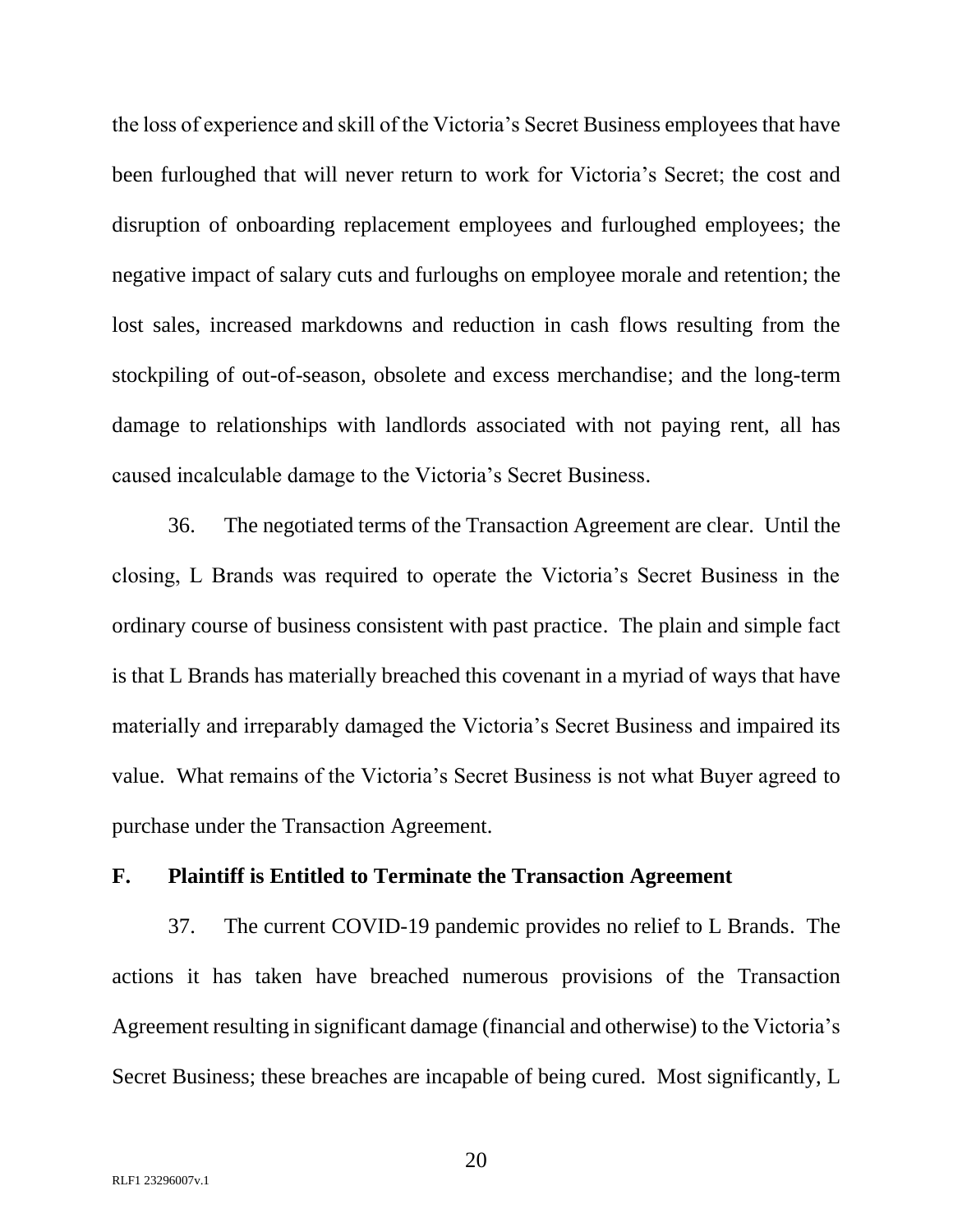the loss of experience and skill of the Victoria's Secret Business employees that have been furloughed that will never return to work for Victoria's Secret; the cost and disruption of onboarding replacement employees and furloughed employees; the negative impact of salary cuts and furloughs on employee morale and retention; the lost sales, increased markdowns and reduction in cash flows resulting from the stockpiling of out-of-season, obsolete and excess merchandise; and the long-term damage to relationships with landlords associated with not paying rent, all has caused incalculable damage to the Victoria's Secret Business.

36. The negotiated terms of the Transaction Agreement are clear. Until the closing, L Brands was required to operate the Victoria's Secret Business in the ordinary course of business consistent with past practice. The plain and simple fact is that L Brands has materially breached this covenant in a myriad of ways that have materially and irreparably damaged the Victoria's Secret Business and impaired its value. What remains of the Victoria's Secret Business is not what Buyer agreed to purchase under the Transaction Agreement.

#### **F. Plaintiff is Entitled to Terminate the Transaction Agreement**

37. The current COVID-19 pandemic provides no relief to L Brands. The actions it has taken have breached numerous provisions of the Transaction Agreement resulting in significant damage (financial and otherwise) to the Victoria's Secret Business; these breaches are incapable of being cured. Most significantly, L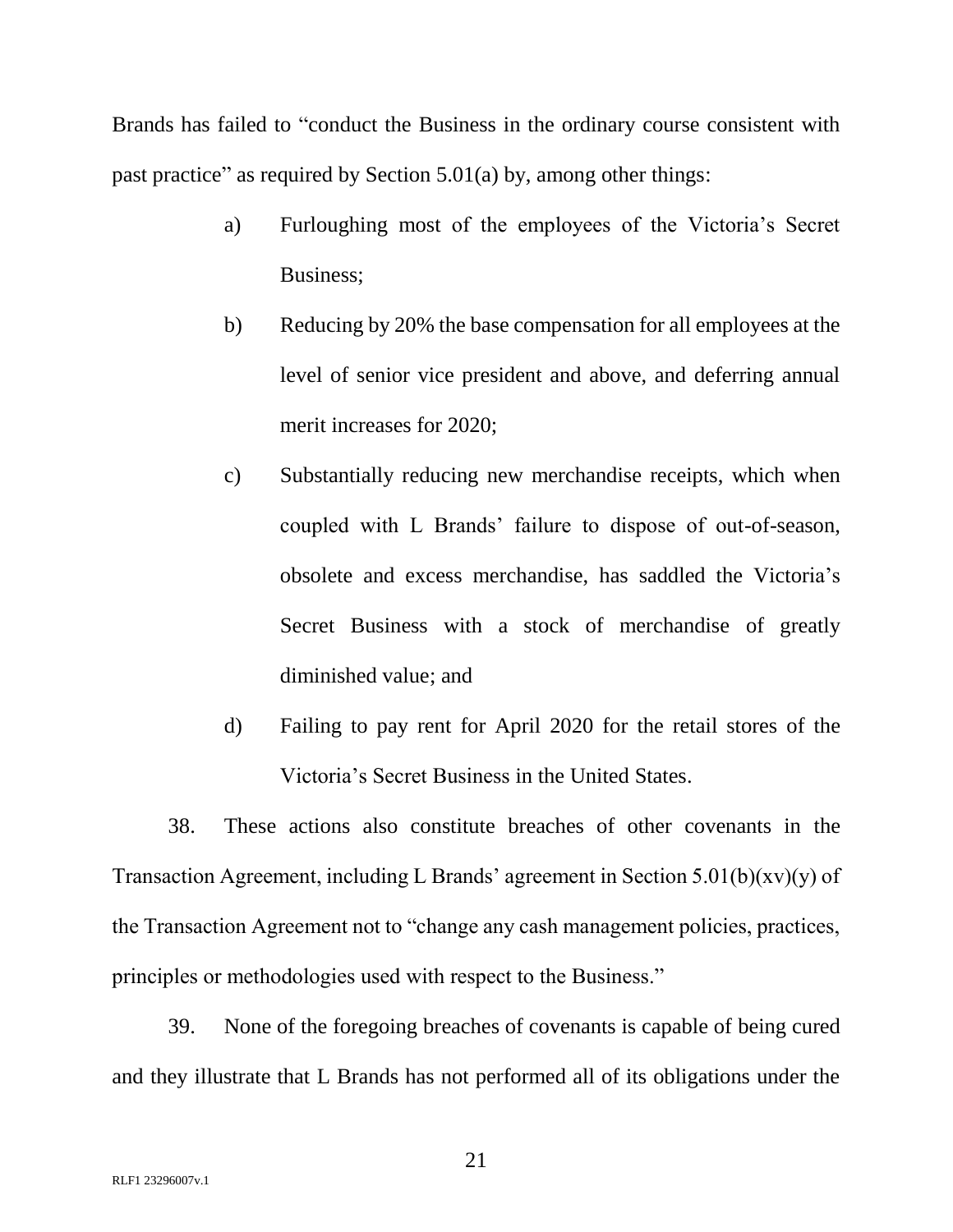Brands has failed to "conduct the Business in the ordinary course consistent with past practice" as required by Section 5.01(a) by, among other things:

- a) Furloughing most of the employees of the Victoria's Secret Business;
- b) Reducing by 20% the base compensation for all employees at the level of senior vice president and above, and deferring annual merit increases for 2020;
- c) Substantially reducing new merchandise receipts, which when coupled with L Brands' failure to dispose of out-of-season, obsolete and excess merchandise, has saddled the Victoria's Secret Business with a stock of merchandise of greatly diminished value; and
- d) Failing to pay rent for April 2020 for the retail stores of the Victoria's Secret Business in the United States.

38. These actions also constitute breaches of other covenants in the Transaction Agreement, including L Brands' agreement in Section  $5.01(b)(xv)(y)$  of the Transaction Agreement not to "change any cash management policies, practices, principles or methodologies used with respect to the Business."

39. None of the foregoing breaches of covenants is capable of being cured and they illustrate that L Brands has not performed all of its obligations under the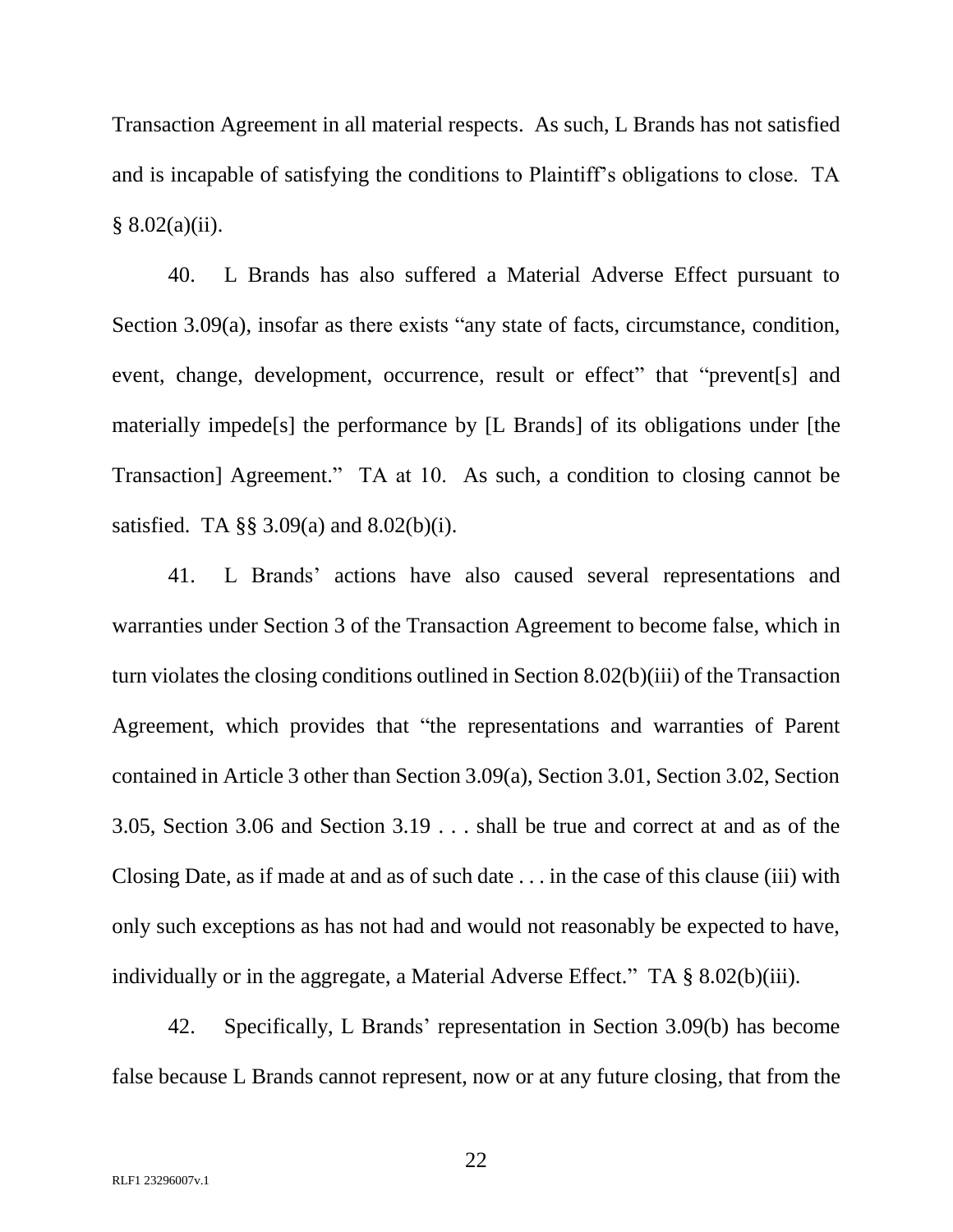Transaction Agreement in all material respects. As such, L Brands has not satisfied and is incapable of satisfying the conditions to Plaintiff's obligations to close. TA  $§ 8.02(a)(ii).$ 

40. L Brands has also suffered a Material Adverse Effect pursuant to Section 3.09(a), insofar as there exists "any state of facts, circumstance, condition, event, change, development, occurrence, result or effect" that "prevent[s] and materially impede[s] the performance by [L Brands] of its obligations under [the Transaction] Agreement." TA at 10. As such, a condition to closing cannot be satisfied. TA §§ 3.09(a) and 8.02(b)(i).

41. L Brands' actions have also caused several representations and warranties under Section 3 of the Transaction Agreement to become false, which in turn violates the closing conditions outlined in Section 8.02(b)(iii) of the Transaction Agreement, which provides that "the representations and warranties of Parent contained in Article 3 other than Section 3.09(a), Section 3.01, Section 3.02, Section 3.05, Section 3.06 and Section 3.19 . . . shall be true and correct at and as of the Closing Date, as if made at and as of such date . . . in the case of this clause (iii) with only such exceptions as has not had and would not reasonably be expected to have, individually or in the aggregate, a Material Adverse Effect." TA § 8.02(b)(iii).

42. Specifically, L Brands' representation in Section 3.09(b) has become false because L Brands cannot represent, now or at any future closing, that from the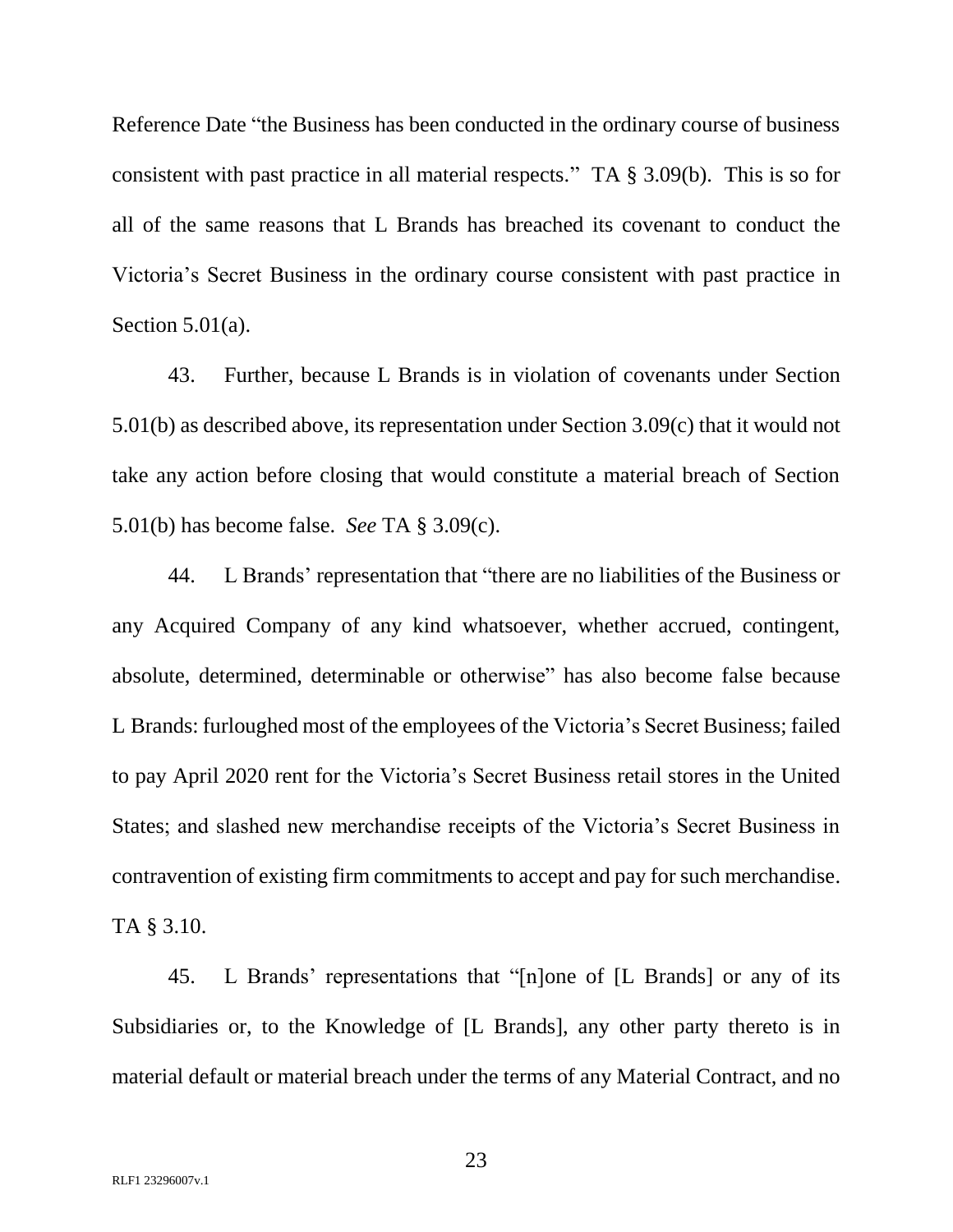Reference Date "the Business has been conducted in the ordinary course of business consistent with past practice in all material respects." TA § 3.09(b). This is so for all of the same reasons that L Brands has breached its covenant to conduct the Victoria's Secret Business in the ordinary course consistent with past practice in Section  $5.01(a)$ .

43. Further, because L Brands is in violation of covenants under Section 5.01(b) as described above, its representation under Section 3.09(c) that it would not take any action before closing that would constitute a material breach of Section 5.01(b) has become false. *See* TA § 3.09(c).

44. L Brands' representation that "there are no liabilities of the Business or any Acquired Company of any kind whatsoever, whether accrued, contingent, absolute, determined, determinable or otherwise" has also become false because L Brands: furloughed most of the employees of the Victoria's Secret Business; failed to pay April 2020 rent for the Victoria's Secret Business retail stores in the United States; and slashed new merchandise receipts of the Victoria's Secret Business in contravention of existing firm commitments to accept and pay for such merchandise. TA § 3.10.

45. L Brands' representations that "[n]one of [L Brands] or any of its Subsidiaries or, to the Knowledge of [L Brands], any other party thereto is in material default or material breach under the terms of any Material Contract, and no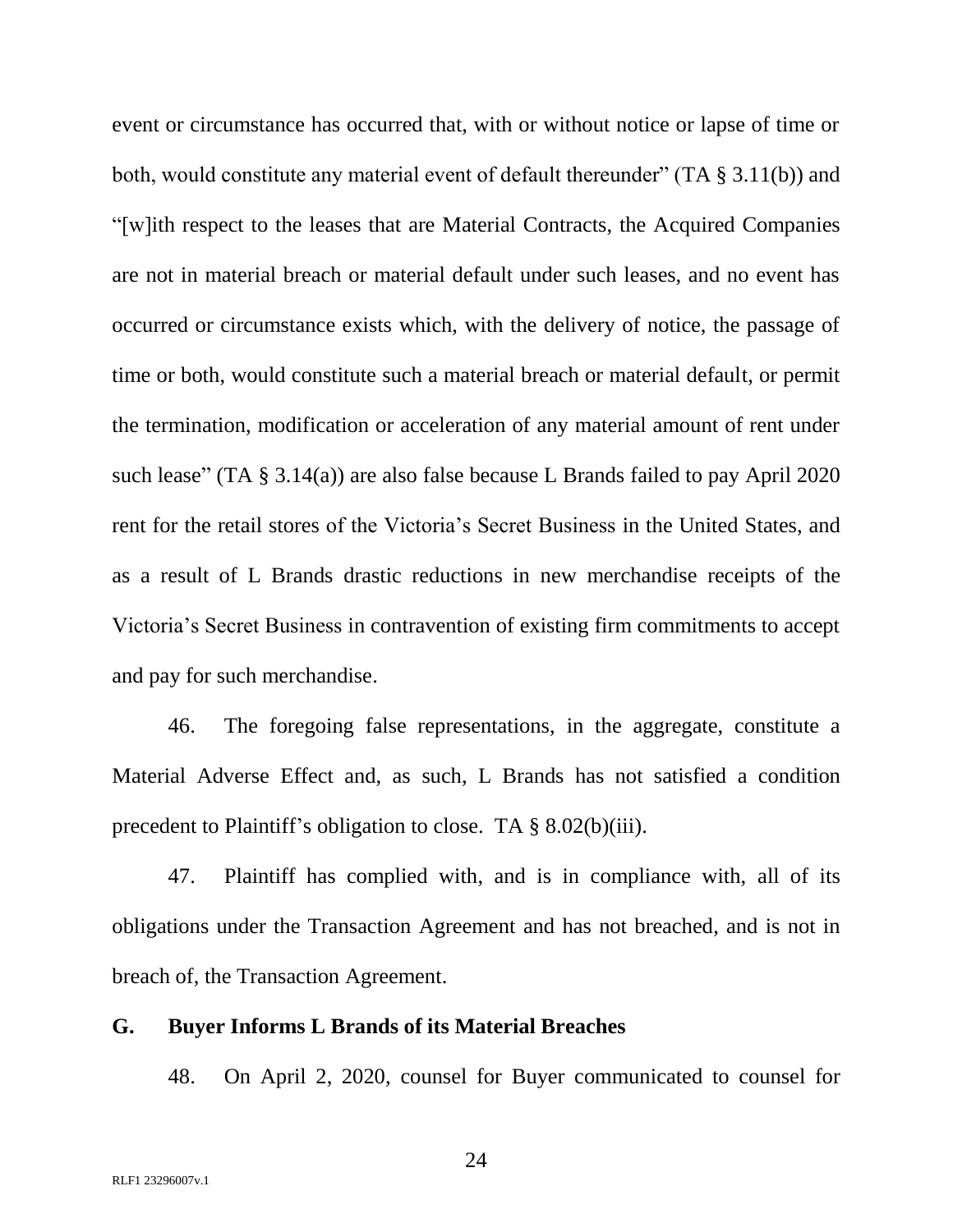event or circumstance has occurred that, with or without notice or lapse of time or both, would constitute any material event of default thereunder" (TA § 3.11(b)) and "[w]ith respect to the leases that are Material Contracts, the Acquired Companies are not in material breach or material default under such leases, and no event has occurred or circumstance exists which, with the delivery of notice, the passage of time or both, would constitute such a material breach or material default, or permit the termination, modification or acceleration of any material amount of rent under such lease" (TA § 3.14(a)) are also false because L Brands failed to pay April 2020 rent for the retail stores of the Victoria's Secret Business in the United States, and as a result of L Brands drastic reductions in new merchandise receipts of the Victoria's Secret Business in contravention of existing firm commitments to accept and pay for such merchandise.

46. The foregoing false representations, in the aggregate, constitute a Material Adverse Effect and, as such, L Brands has not satisfied a condition precedent to Plaintiff's obligation to close. TA § 8.02(b)(iii).

47. Plaintiff has complied with, and is in compliance with, all of its obligations under the Transaction Agreement and has not breached, and is not in breach of, the Transaction Agreement.

### **G. Buyer Informs L Brands of its Material Breaches**

48. On April 2, 2020, counsel for Buyer communicated to counsel for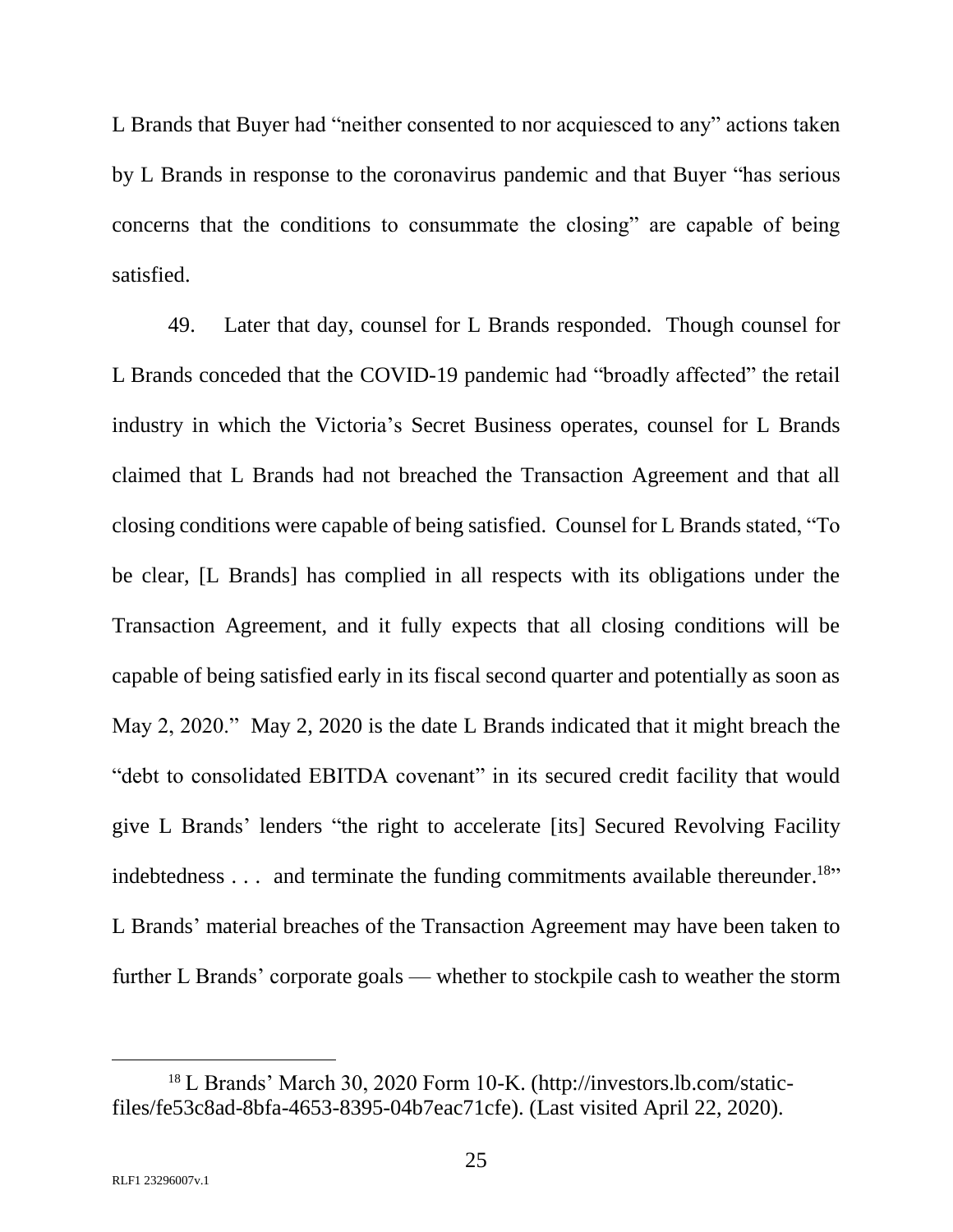L Brands that Buyer had "neither consented to nor acquiesced to any" actions taken by L Brands in response to the coronavirus pandemic and that Buyer "has serious concerns that the conditions to consummate the closing" are capable of being satisfied.

49. Later that day, counsel for L Brands responded. Though counsel for L Brands conceded that the COVID-19 pandemic had "broadly affected" the retail industry in which the Victoria's Secret Business operates, counsel for L Brands claimed that L Brands had not breached the Transaction Agreement and that all closing conditions were capable of being satisfied. Counsel for L Brands stated, "To be clear, [L Brands] has complied in all respects with its obligations under the Transaction Agreement, and it fully expects that all closing conditions will be capable of being satisfied early in its fiscal second quarter and potentially as soon as May 2, 2020." May 2, 2020 is the date L Brands indicated that it might breach the "debt to consolidated EBITDA covenant" in its secured credit facility that would give L Brands' lenders "the right to accelerate [its] Secured Revolving Facility indebtedness  $\dots$  and terminate the funding commitments available thereunder.<sup>18</sup>" L Brands' material breaches of the Transaction Agreement may have been taken to further L Brands' corporate goals — whether to stockpile cash to weather the storm

<sup>18</sup> L Brands' March 30, 2020 Form 10-K. (http://investors.lb.com/staticfiles/fe53c8ad-8bfa-4653-8395-04b7eac71cfe). (Last visited April 22, 2020).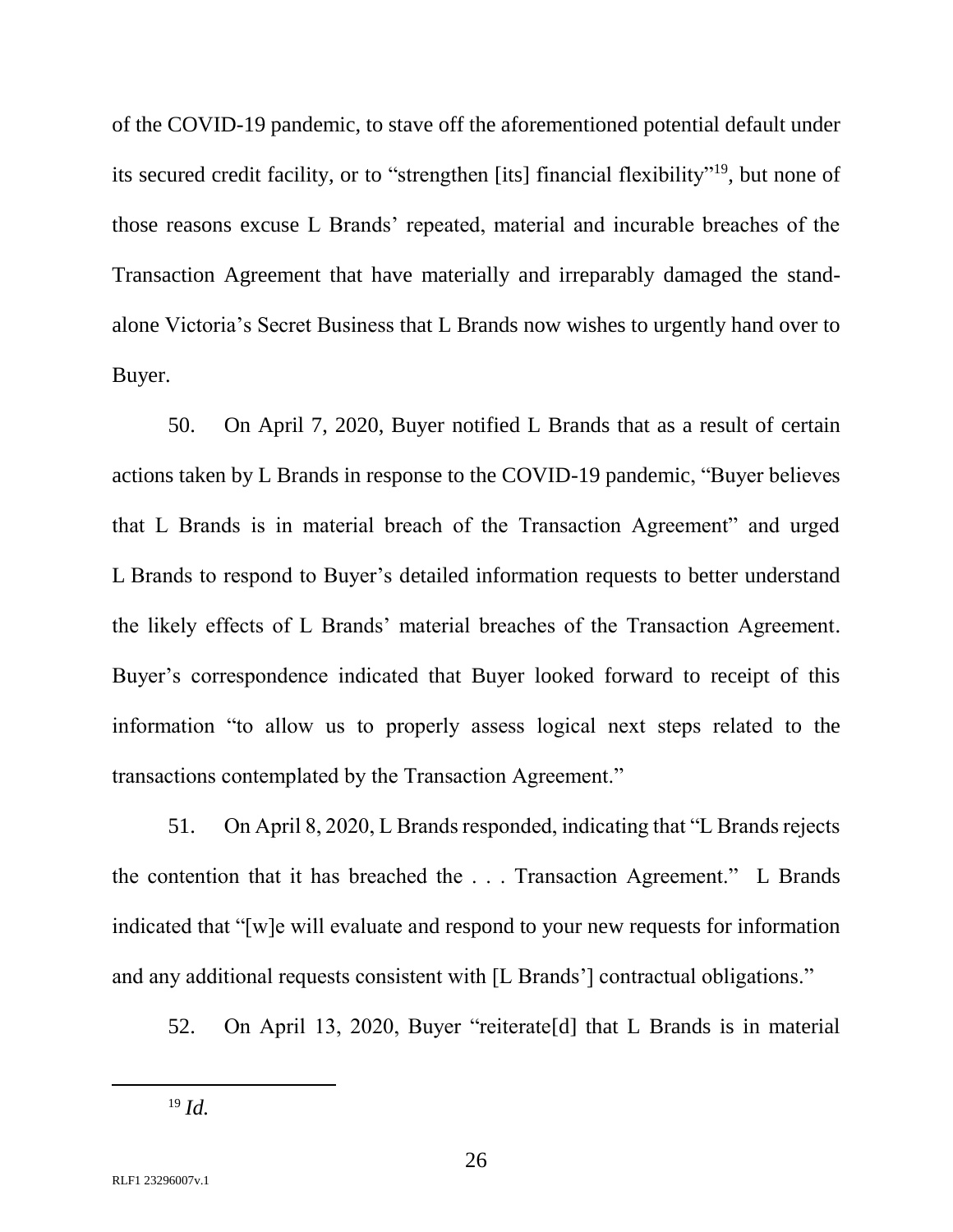of the COVID-19 pandemic, to stave off the aforementioned potential default under its secured credit facility, or to "strengthen [its] financial flexibility"<sup>19</sup>, but none of those reasons excuse L Brands' repeated, material and incurable breaches of the Transaction Agreement that have materially and irreparably damaged the standalone Victoria's Secret Business that L Brands now wishes to urgently hand over to Buyer.

50. On April 7, 2020, Buyer notified L Brands that as a result of certain actions taken by L Brands in response to the COVID-19 pandemic, "Buyer believes that L Brands is in material breach of the Transaction Agreement" and urged L Brands to respond to Buyer's detailed information requests to better understand the likely effects of L Brands' material breaches of the Transaction Agreement. Buyer's correspondence indicated that Buyer looked forward to receipt of this information "to allow us to properly assess logical next steps related to the transactions contemplated by the Transaction Agreement."

51. On April 8, 2020, L Brands responded, indicating that "L Brands rejects the contention that it has breached the . . . Transaction Agreement." L Brands indicated that "[w]e will evaluate and respond to your new requests for information and any additional requests consistent with [L Brands'] contractual obligations."

52. On April 13, 2020, Buyer "reiterate[d] that L Brands is in material

<sup>19</sup> *Id.*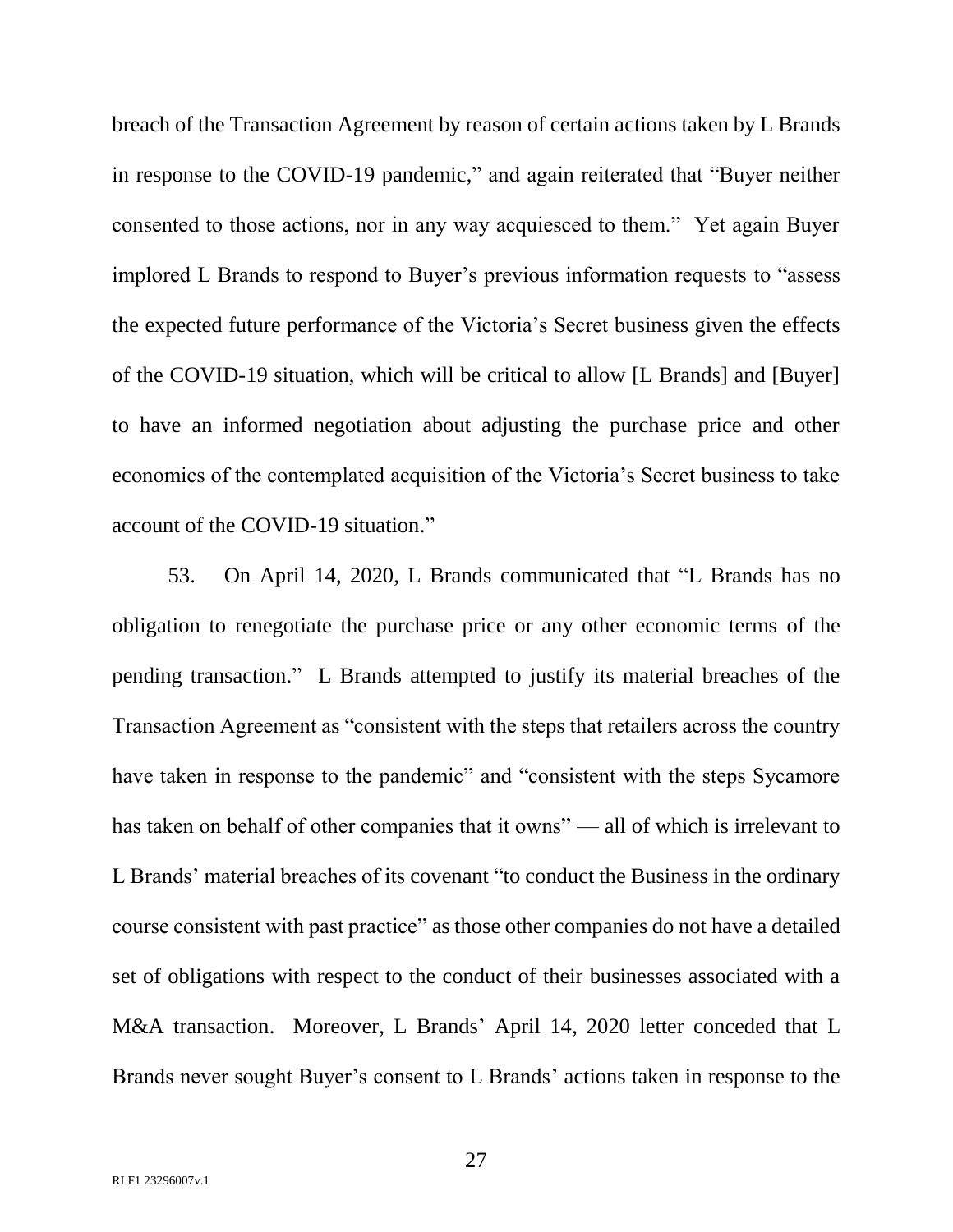breach of the Transaction Agreement by reason of certain actions taken by L Brands in response to the COVID-19 pandemic," and again reiterated that "Buyer neither consented to those actions, nor in any way acquiesced to them." Yet again Buyer implored L Brands to respond to Buyer's previous information requests to "assess the expected future performance of the Victoria's Secret business given the effects of the COVID-19 situation, which will be critical to allow [L Brands] and [Buyer] to have an informed negotiation about adjusting the purchase price and other economics of the contemplated acquisition of the Victoria's Secret business to take account of the COVID-19 situation."

53. On April 14, 2020, L Brands communicated that "L Brands has no obligation to renegotiate the purchase price or any other economic terms of the pending transaction." L Brands attempted to justify its material breaches of the Transaction Agreement as "consistent with the steps that retailers across the country have taken in response to the pandemic" and "consistent with the steps Sycamore has taken on behalf of other companies that it owns" — all of which is irrelevant to L Brands' material breaches of its covenant "to conduct the Business in the ordinary course consistent with past practice" as those other companies do not have a detailed set of obligations with respect to the conduct of their businesses associated with a M&A transaction. Moreover, L Brands' April 14, 2020 letter conceded that L Brands never sought Buyer's consent to L Brands' actions taken in response to the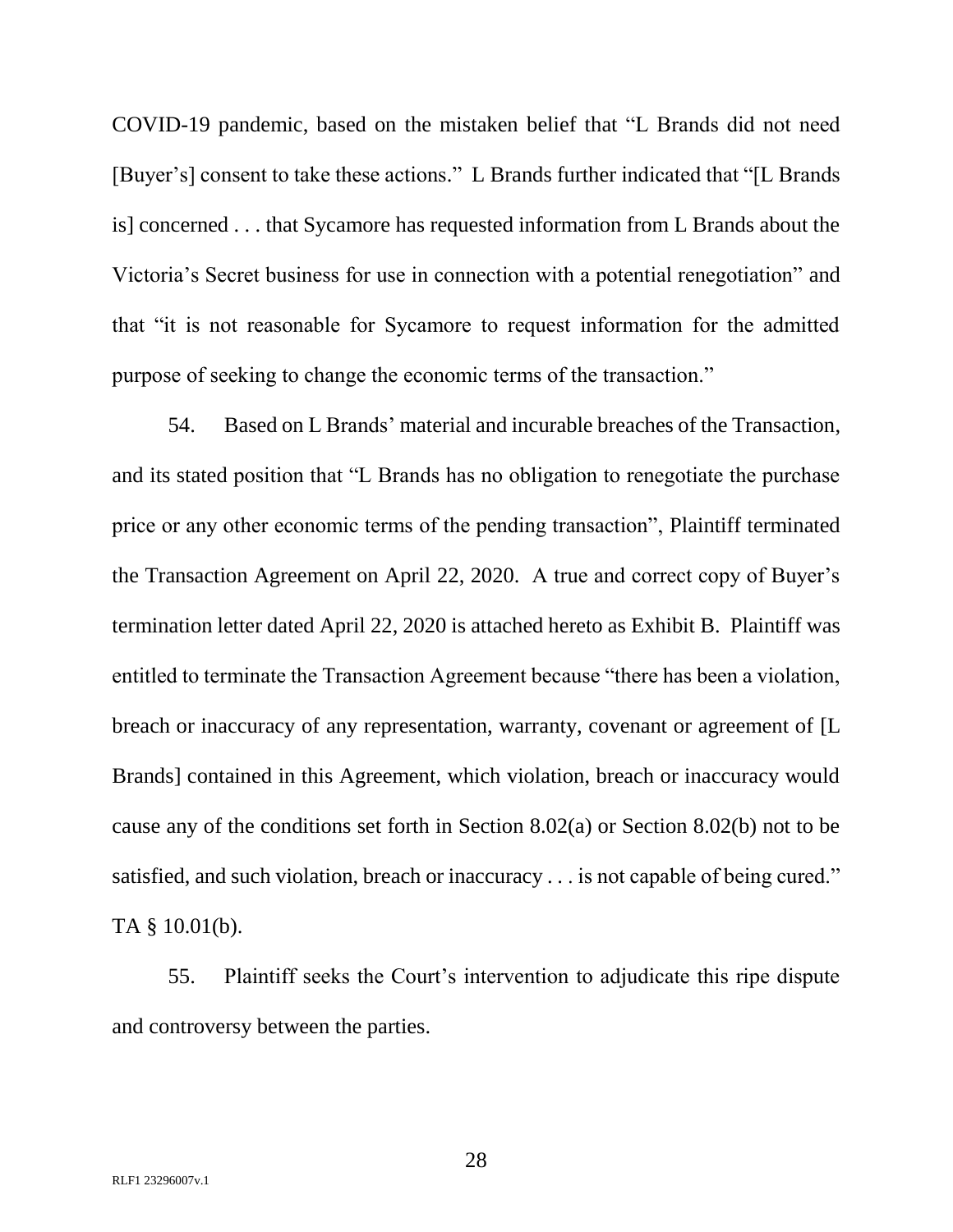COVID-19 pandemic, based on the mistaken belief that "L Brands did not need [Buyer's] consent to take these actions." L Brands further indicated that "[L Brands is] concerned . . . that Sycamore has requested information from L Brands about the Victoria's Secret business for use in connection with a potential renegotiation" and that "it is not reasonable for Sycamore to request information for the admitted purpose of seeking to change the economic terms of the transaction."

54. Based on L Brands' material and incurable breaches of the Transaction, and its stated position that "L Brands has no obligation to renegotiate the purchase price or any other economic terms of the pending transaction", Plaintiff terminated the Transaction Agreement on April 22, 2020. A true and correct copy of Buyer's termination letter dated April 22, 2020 is attached hereto as Exhibit B. Plaintiff was entitled to terminate the Transaction Agreement because "there has been a violation, breach or inaccuracy of any representation, warranty, covenant or agreement of [L Brands] contained in this Agreement, which violation, breach or inaccuracy would cause any of the conditions set forth in Section 8.02(a) or Section 8.02(b) not to be satisfied, and such violation, breach or inaccuracy . . . is not capable of being cured." TA § 10.01(b).

55. Plaintiff seeks the Court's intervention to adjudicate this ripe dispute and controversy between the parties.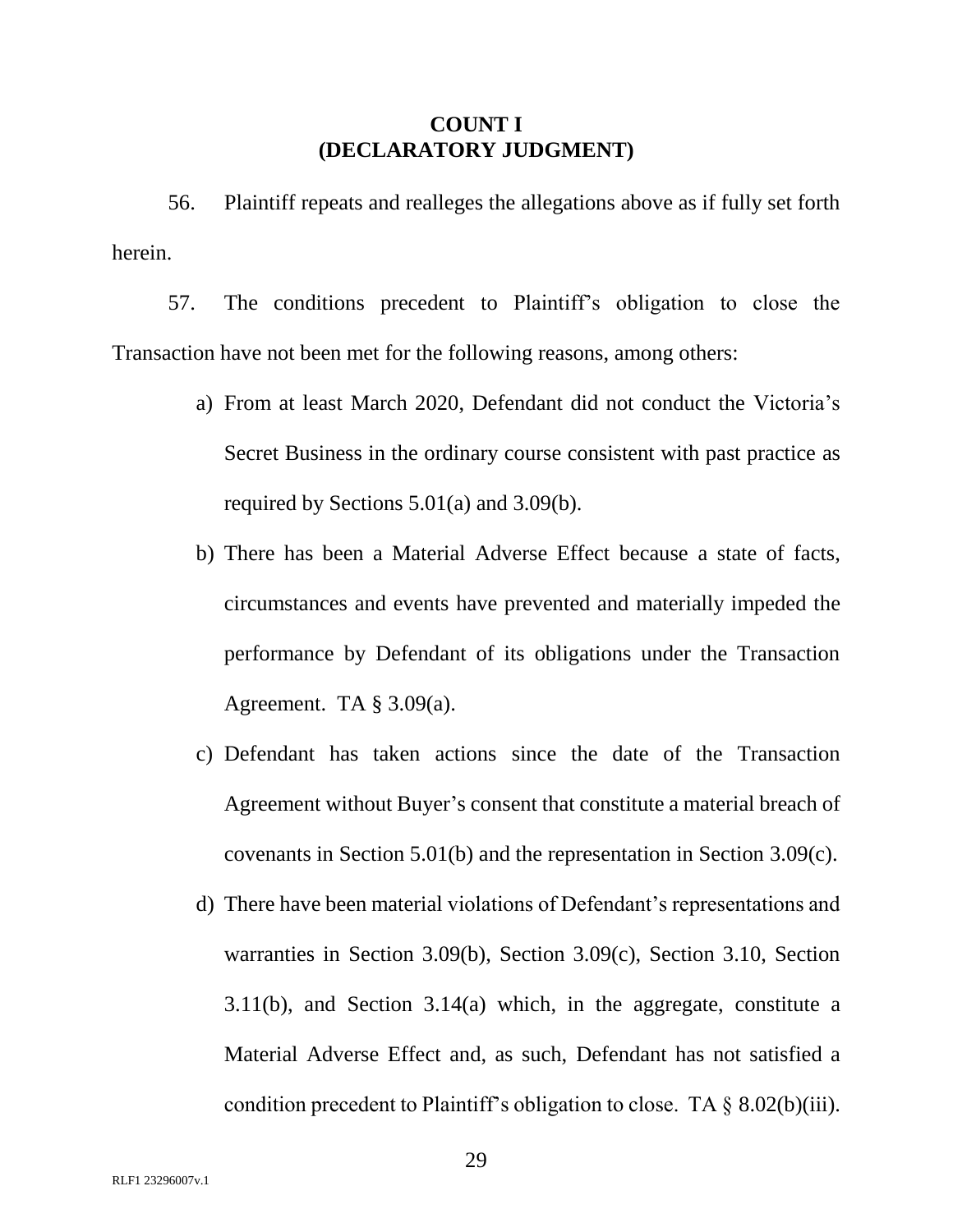### **COUNT I (DECLARATORY JUDGMENT)**

56. Plaintiff repeats and realleges the allegations above as if fully set forth herein.

57. The conditions precedent to Plaintiff's obligation to close the Transaction have not been met for the following reasons, among others:

- a) From at least March 2020, Defendant did not conduct the Victoria's Secret Business in the ordinary course consistent with past practice as required by Sections 5.01(a) and 3.09(b).
- b) There has been a Material Adverse Effect because a state of facts, circumstances and events have prevented and materially impeded the performance by Defendant of its obligations under the Transaction Agreement. TA  $\S 3.09(a)$ .
- c) Defendant has taken actions since the date of the Transaction Agreement without Buyer's consent that constitute a material breach of covenants in Section 5.01(b) and the representation in Section 3.09(c).
- d) There have been material violations of Defendant's representations and warranties in Section 3.09(b), Section 3.09(c), Section 3.10, Section 3.11(b), and Section 3.14(a) which, in the aggregate, constitute a Material Adverse Effect and, as such, Defendant has not satisfied a condition precedent to Plaintiff's obligation to close. TA  $\S$  8.02(b)(iii).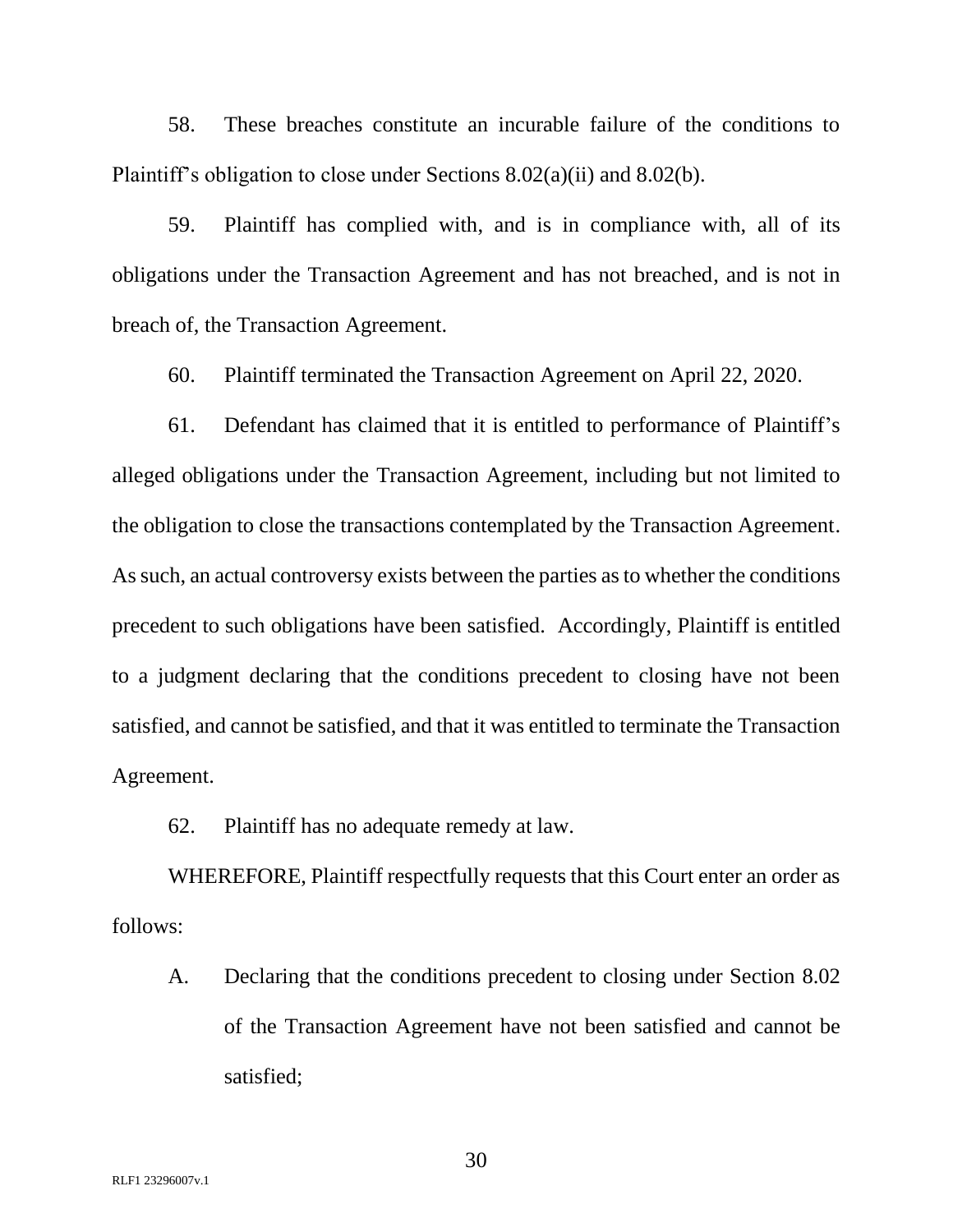58. These breaches constitute an incurable failure of the conditions to Plaintiff's obligation to close under Sections 8.02(a)(ii) and 8.02(b).

59. Plaintiff has complied with, and is in compliance with, all of its obligations under the Transaction Agreement and has not breached, and is not in breach of, the Transaction Agreement.

60. Plaintiff terminated the Transaction Agreement on April 22, 2020.

61. Defendant has claimed that it is entitled to performance of Plaintiff's alleged obligations under the Transaction Agreement, including but not limited to the obligation to close the transactions contemplated by the Transaction Agreement. As such, an actual controversy exists between the parties as to whether the conditions precedent to such obligations have been satisfied. Accordingly, Plaintiff is entitled to a judgment declaring that the conditions precedent to closing have not been satisfied, and cannot be satisfied, and that it was entitled to terminate the Transaction Agreement.

62. Plaintiff has no adequate remedy at law.

WHEREFORE, Plaintiff respectfully requests that this Court enter an order as follows:

A. Declaring that the conditions precedent to closing under Section 8.02 of the Transaction Agreement have not been satisfied and cannot be satisfied;